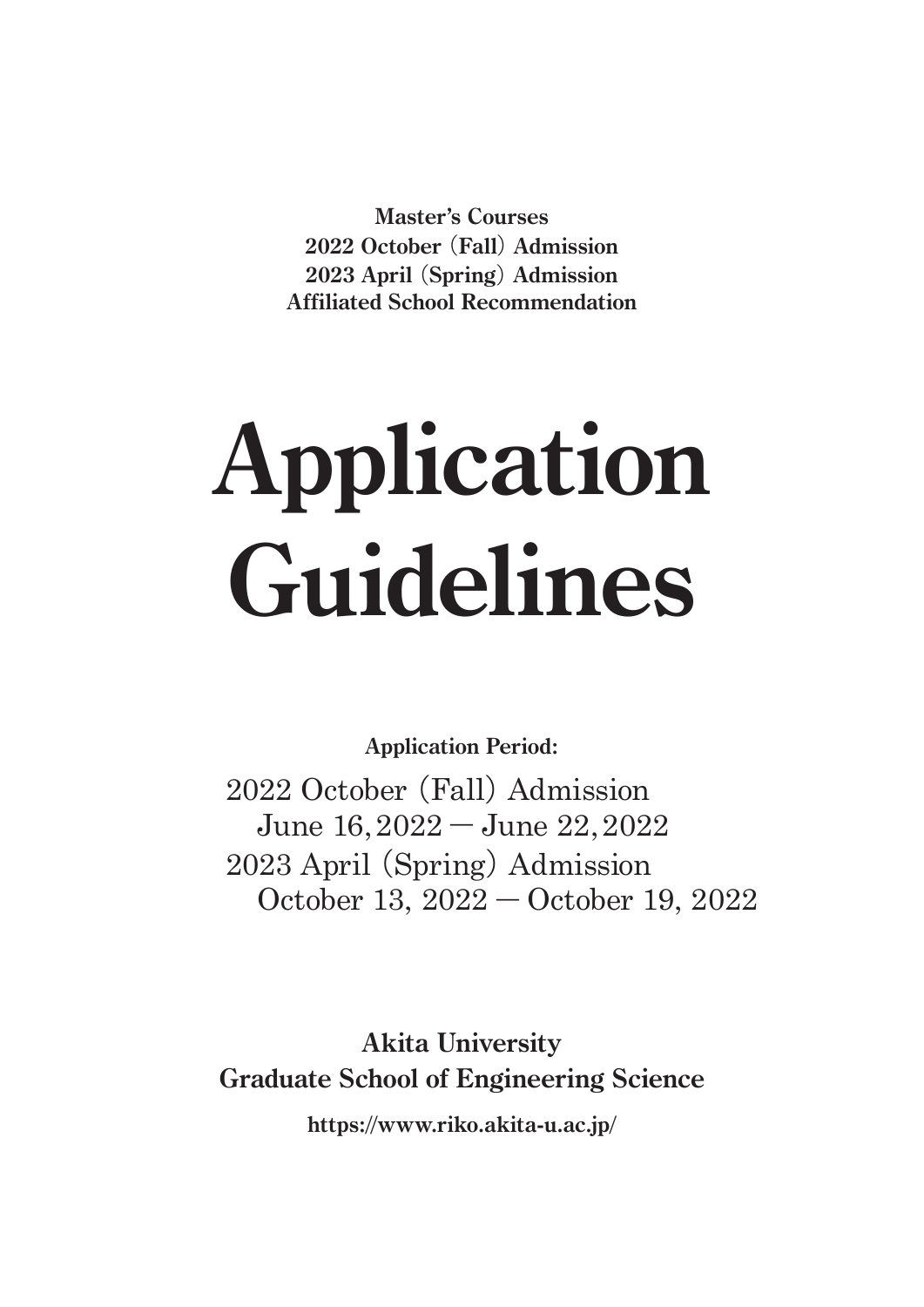**Master's Courses 2022 October** (**Fall**) **Admission 2023 April** (**Spring**) **Admission Affiliated School Recommendation**

# **Application Guidelines**

**Application Period:**

 2022 October (Fall) Admission June 16, 2022 ― June 22, 2022 2023 April(Spring) Admission October 13, 2022 ― October 19, 2022

**Akita University Graduate School of Engineering Science**

**https://www.riko.akita-u.ac.jp/**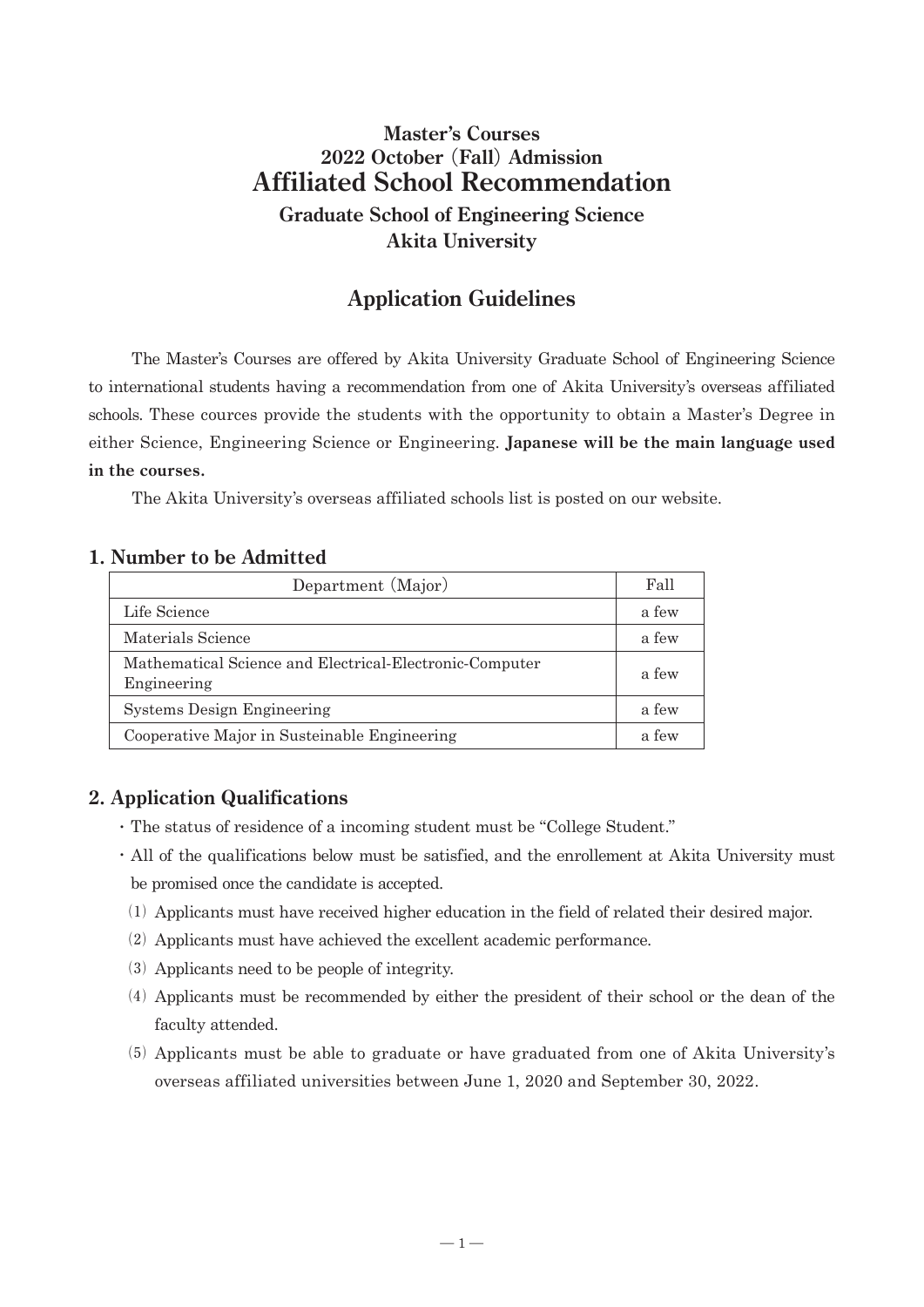# **Master's Courses 2022 October** (**Fall**) **Admission Affiliated School Recommendation Graduate School of Engineering Science**

**Akita University**

# **Application Guidelines**

 The Master's Courses are offered by Akita University Graduate School of Engineering Science to international students having a recommendation from one of Akita University's overseas affiliated schools. These cources provide the students with the opportunity to obtain a Master's Degree in either Science, Engineering Science or Engineering. **Japanese will be the main language used in the courses.**

The Akita University's overseas affiliated schools list is posted on our website.

#### **1. Number to be Admitted**

| Department (Major)                                                     | Fall  |
|------------------------------------------------------------------------|-------|
| Life Science                                                           | a few |
| Materials Science                                                      | a few |
| Mathematical Science and Electrical-Electronic-Computer<br>Engineering | a few |
| <b>Systems Design Engineering</b>                                      | a few |
| Cooperative Major in Susteinable Engineering                           | a few |

## **2. Application Qualifications**

- ・ The status of residence of a incoming student must be "College Student."
- ・All of the qualifications below must be satisfied, and the enrollement at Akita University must be promised once the candidate is accepted.
- ⑴ Applicants must have received higher education in the field of related their desired major.
- ⑵ Applicants must have achieved the excellent academic performance.
- ⑶ Applicants need to be people of integrity.
- ⑷ Applicants must be recommended by either the president of their school or the dean of the faculty attended.
- ⑸ Applicants must be able to graduate or have graduated from one of Akita University's overseas affiliated universities between June 1, 2020 and September 30, 2022.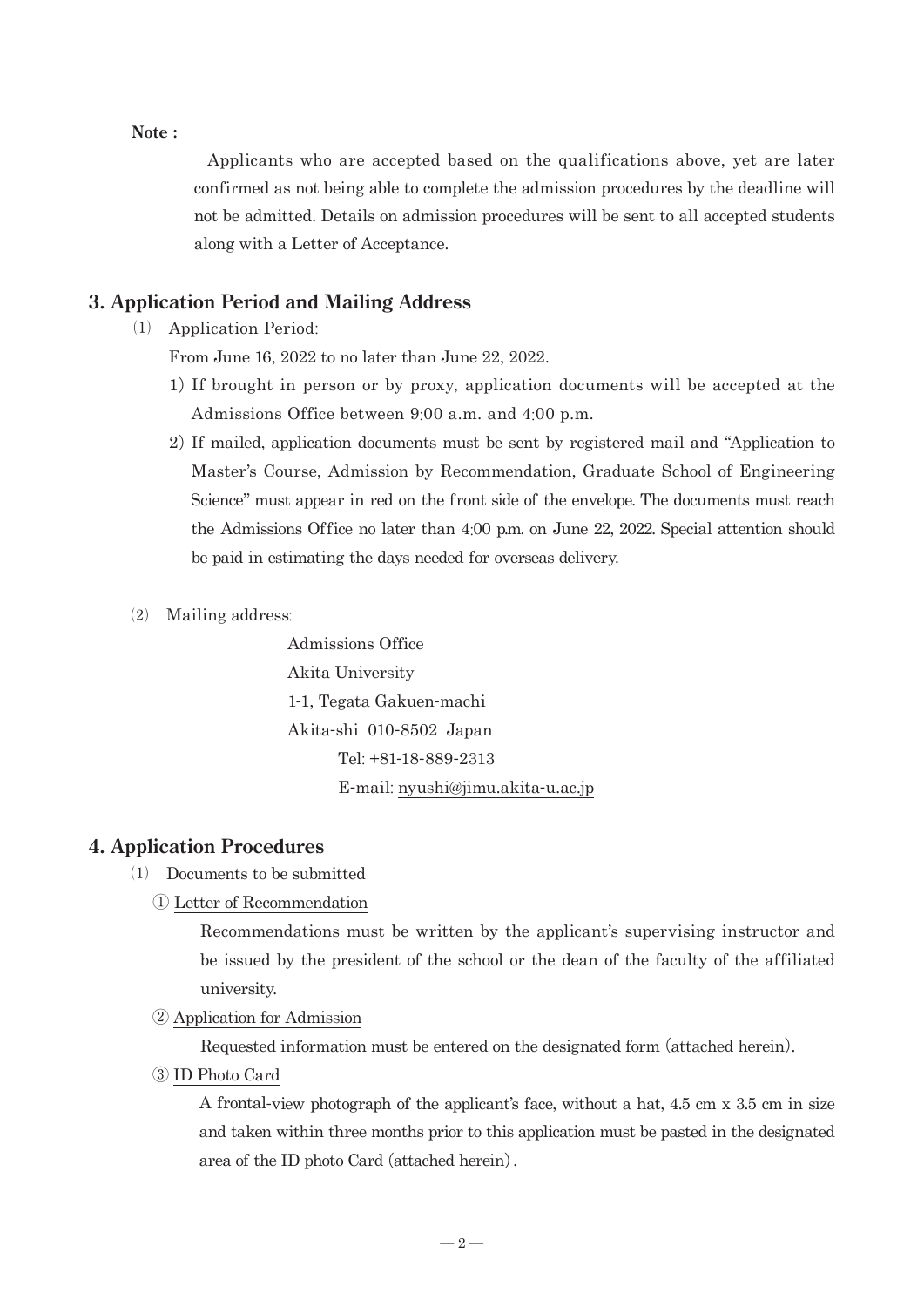#### **Note :**

 Applicants who are accepted based on the qualifications above, yet are later confirmed as not being able to complete the admission procedures by the deadline will not be admitted. Details on admission procedures will be sent to all accepted students along with a Letter of Acceptance.

#### **3. Application Period and Mailing Address**

⑴ Application Period:

From June 16, 2022 to no later than June 22, 2022.

- 1)If brought in person or by proxy, application documents will be accepted at the Admissions Office between 9:00 a.m. and 4:00 p.m.
- 2)If mailed, application documents must be sent by registered mail and "Application to Master's Course, Admission by Recommendation, Graduate School of Engineering Science" must appear in red on the front side of the envelope. The documents must reach the Admissions Office no later than 4:00 p.m. on June 22, 2022. Special attention should be paid in estimating the days needed for overseas delivery.
- ⑵ Mailing address:

 Admissions Office Akita University 1-1, Tegata Gakuen-machi Akita-shi 010-8502 Japan Tel: +81-18-889-2313 E-mail: nyushi@jimu.akita-u.ac.jp

#### **4. Application Procedures**

- ⑴ Documents to be submitted
	- ① Letter of Recommendation

 Recommendations must be written by the applicant's supervising instructor and be issued by the president of the school or the dean of the faculty of the affiliated university.

② Application for Admission

Requested information must be entered on the designated form (attached herein).

③ ID Photo Card

 A frontal-view photograph of the applicant's face, without a hat, 4.5 cm x 3.5 cm in size and taken within three months prior to this application must be pasted in the designated area of the ID photo Card (attached herein).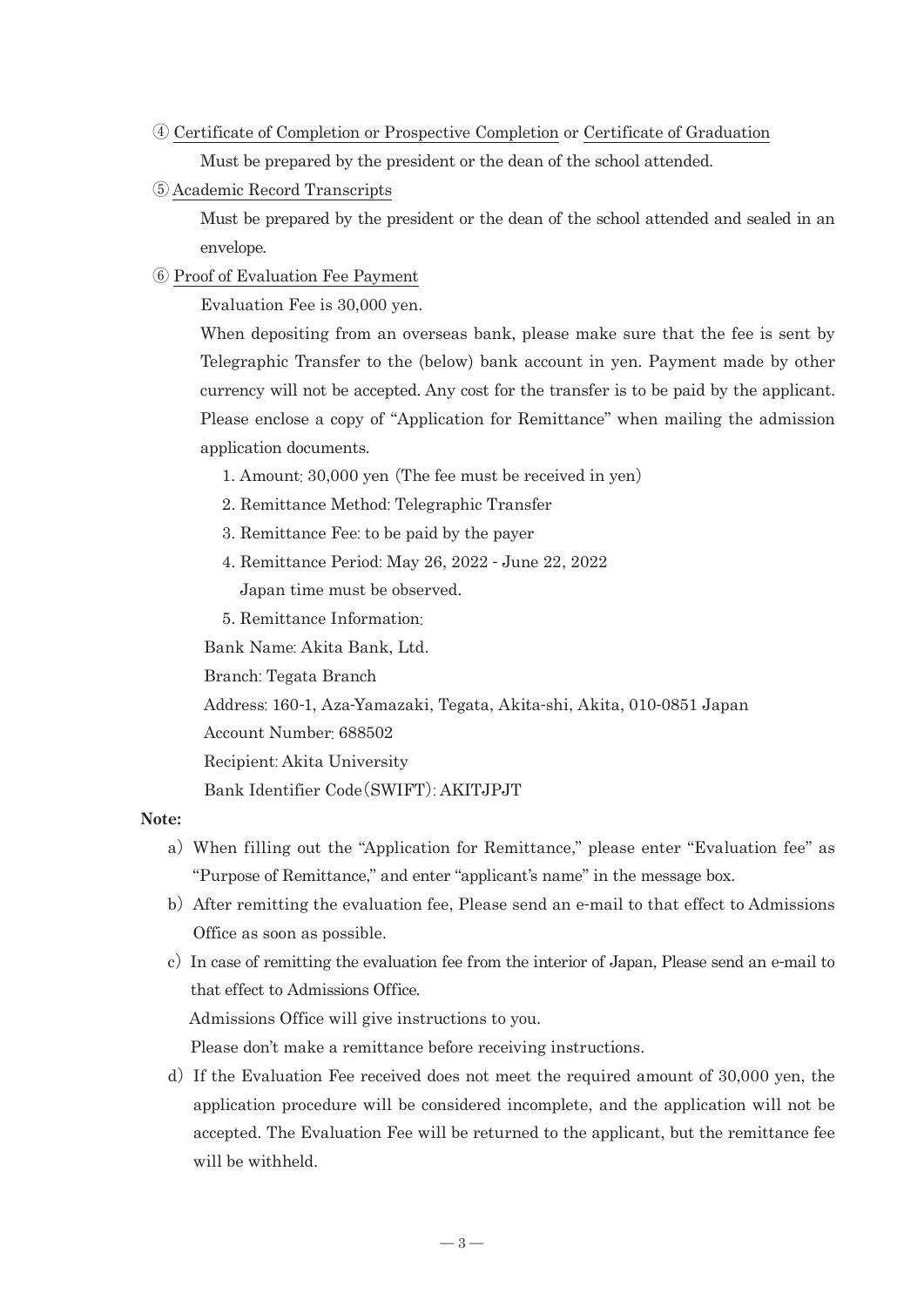- ④ Certificate of Completion or Prospective Completion or Certificate of Graduation Must be prepared by the president or the dean of the school attended.
- ⑤ Academic Record Transcripts

 Must be prepared by the president or the dean of the school attended and sealed in an envelope.

#### ⑥ Proof of Evaluation Fee Payment

Evaluation Fee is 30,000 yen.

When depositing from an overseas bank, please make sure that the fee is sent by Telegraphic Transfer to the (below) bank account in yen. Payment made by other currency will not be accepted. Any cost for the transfer is to be paid by the applicant. Please enclose a copy of "Application for Remittance" when mailing the admission application documents.

- 1. Amount: 30,000 yen (The fee must be received in yen)
- 2. Remittance Method: Telegraphic Transfer
- 3. Remittance Fee: to be paid by the payer
- 4. Remittance Period: May 26, 2022 June 22, 2022 Japan time must be observed.
- 5. Remittance Information:

Bank Name: Akita Bank, Ltd.

Branch: Tegata Branch

Address: 160-1, Aza-Yamazaki, Tegata, Akita-shi, Akita, 010-0851 Japan

Account Number: 688502

Recipient: Akita University

Bank Identifier Code(SWIFT): AKITJPJT

#### **Note:**

- a)When filling out the "Application for Remittance," please enter "Evaluation fee" as "Purpose of Remittance," and enter "applicant's name" in the message box.
- b)After remitting the evaluation fee, Please send an e-mail to that effect to Admissions Office as soon as possible.
- c) In case of remitting the evaluation fee from the interior of Japan, Please send an e-mail to that effect to Admissions Office. Admissions Office will give instructions to you.

Please don't make a remittance before receiving instructions.

d) If the Evaluation Fee received does not meet the required amount of  $30,000$  yen, the application procedure will be considered incomplete, and the application will not be accepted. The Evaluation Fee will be returned to the applicant, but the remittance fee will be withheld.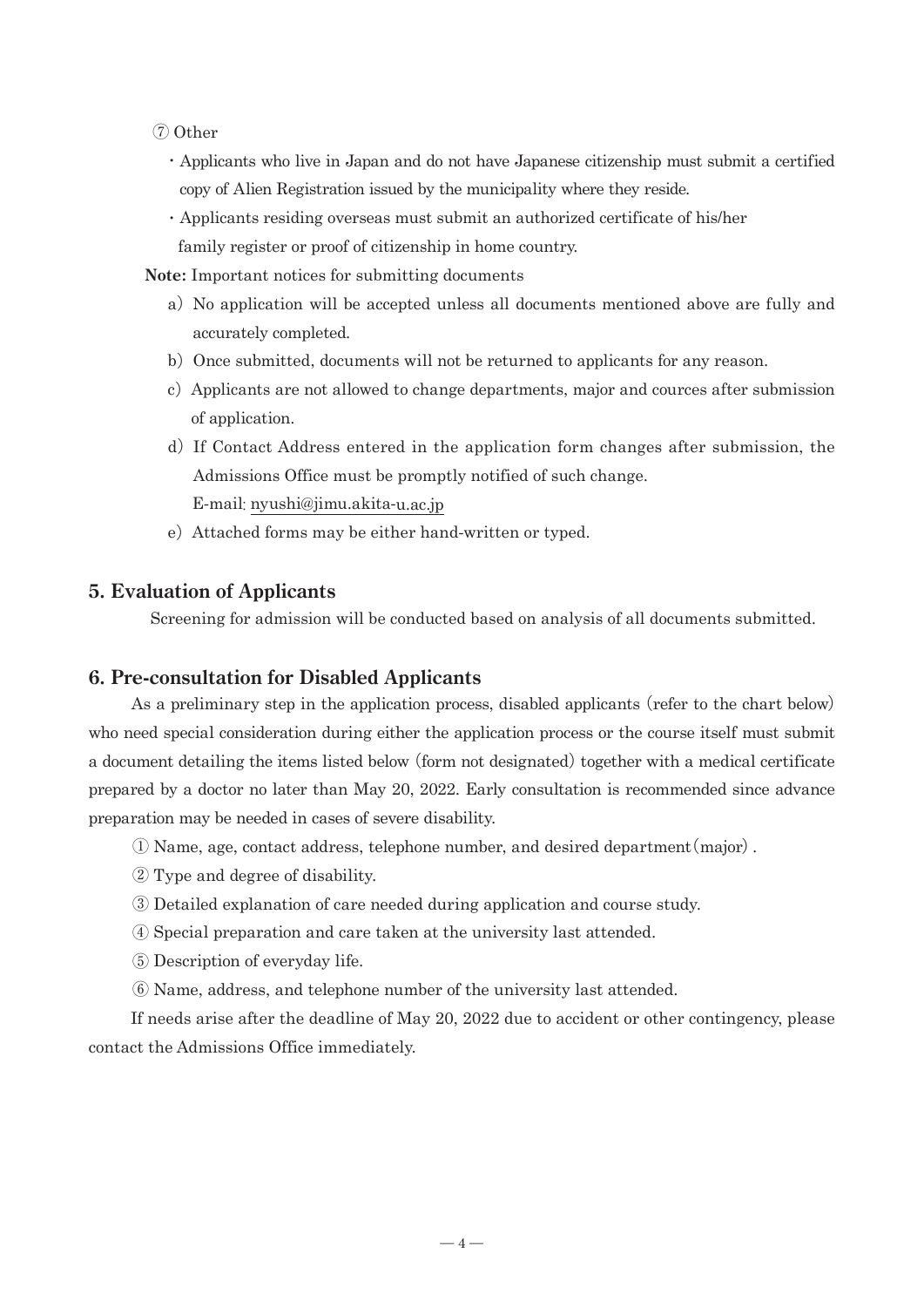- ⑦ Other
	- ・Applicants who live in Japan and do not have Japanese citizenship must submit a certified copy of Alien Registration issued by the municipality where they reside.
	- ・Applicants residing overseas must submit an authorized certificate of his/her family register or proof of citizenship in home country.

 **Note:** Important notices for submitting documents

- a) No application will be accepted unless all documents mentioned above are fully and accurately completed.
- b) Once submitted, documents will not be returned to applicants for any reason.
- c) Applicants are not allowed to change departments, major and cources after submission of application.
- d) If Contact Address entered in the application form changes after submission, the Admissions Office must be promptly notified of such change. E-mail: nyushi@jimu.akita-u.ac.jp
- e) Attached forms may be either hand-written or typed.

#### **5. Evaluation of Applicants**

Screening for admission will be conducted based on analysis of all documents submitted.

#### **6. Pre-consultation for Disabled Applicants**

 As a preliminary step in the application process, disabled applicants (refer to the chart below) who need special consideration during either the application process or the course itself must submit a document detailing the items listed below (form not designated) together with a medical certificate prepared by a doctor no later than May 20, 2022. Early consultation is recommended since advance preparation may be needed in cases of severe disability.

- ① Name, age, contact address, telephone number, and desired department(major).
- ② Type and degree of disability.
- ③ Detailed explanation of care needed during application and course study.
- ④ Special preparation and care taken at the university last attended.
- ⑤ Description of everyday life.
- ⑥ Name, address, and telephone number of the university last attended.

 If needs arise after the deadline of May 20, 2022 due to accident or other contingency, please contact the Admissions Office immediately.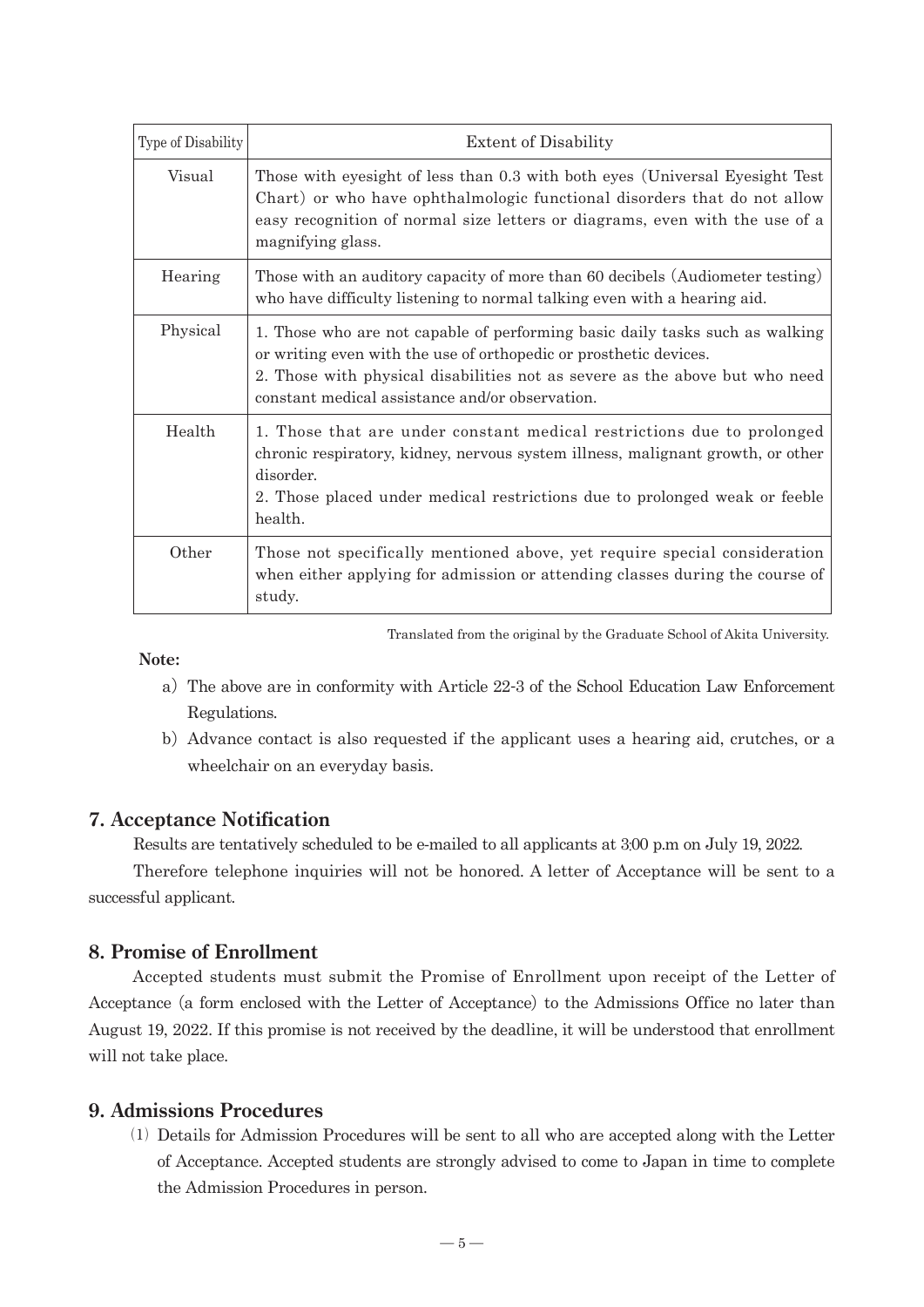| Type of Disability | <b>Extent of Disability</b>                                                                                                                                                                                                                                                         |  |  |
|--------------------|-------------------------------------------------------------------------------------------------------------------------------------------------------------------------------------------------------------------------------------------------------------------------------------|--|--|
| Visual             | Those with eyesight of less than 0.3 with both eyes (Universal Eyesight Test<br>Chart) or who have ophthalmologic functional disorders that do not allow<br>easy recognition of normal size letters or diagrams, even with the use of a<br>magnifying glass.                        |  |  |
| Hearing            | Those with an auditory capacity of more than 60 decibels (Audiometer testing)<br>who have difficulty listening to normal talking even with a hearing aid.                                                                                                                           |  |  |
| Physical           | 1. Those who are not capable of performing basic daily tasks such as walking<br>or writing even with the use of orthopedic or prosthetic devices.<br>2. Those with physical disabilities not as severe as the above but who need<br>constant medical assistance and/or observation. |  |  |
| Health             | 1. Those that are under constant medical restrictions due to prolonged<br>chronic respiratory, kidney, nervous system illness, malignant growth, or other<br>disorder.<br>2. Those placed under medical restrictions due to prolonged weak or feeble<br>health.                     |  |  |
| Other              | Those not specifically mentioned above, yet require special consideration<br>when either applying for admission or attending classes during the course of<br>study.                                                                                                                 |  |  |

Translated from the original by the Graduate School of Akita University.

 **Note:**

- a)The above are in conformity with Article 22-3 of the School Education Law Enforcement Regulations.
- b)Advance contact is also requested if the applicant uses a hearing aid, crutches, or a wheelchair on an everyday basis.

#### **7. Acceptance Notification**

Results are tentatively scheduled to be e-mailed to all applicants at 3:00 p.m on July 19, 2022.

Therefore telephone inquiries will not be honored. A letter of Acceptance will be sent to a successful applicant.

#### **8. Promise of Enrollment**

 Accepted students must submit the Promise of Enrollment upon receipt of the Letter of Acceptance (a form enclosed with the Letter of Acceptance) to the Admissions Office no later than August 19, 2022. If this promise is not received by the deadline, it will be understood that enrollment will not take place.

#### **9. Admissions Procedures**

 ⑴ Details for Admission Procedures will be sent to all who are accepted along with the Letter of Acceptance. Accepted students are strongly advised to come to Japan in time to complete the Admission Procedures in person.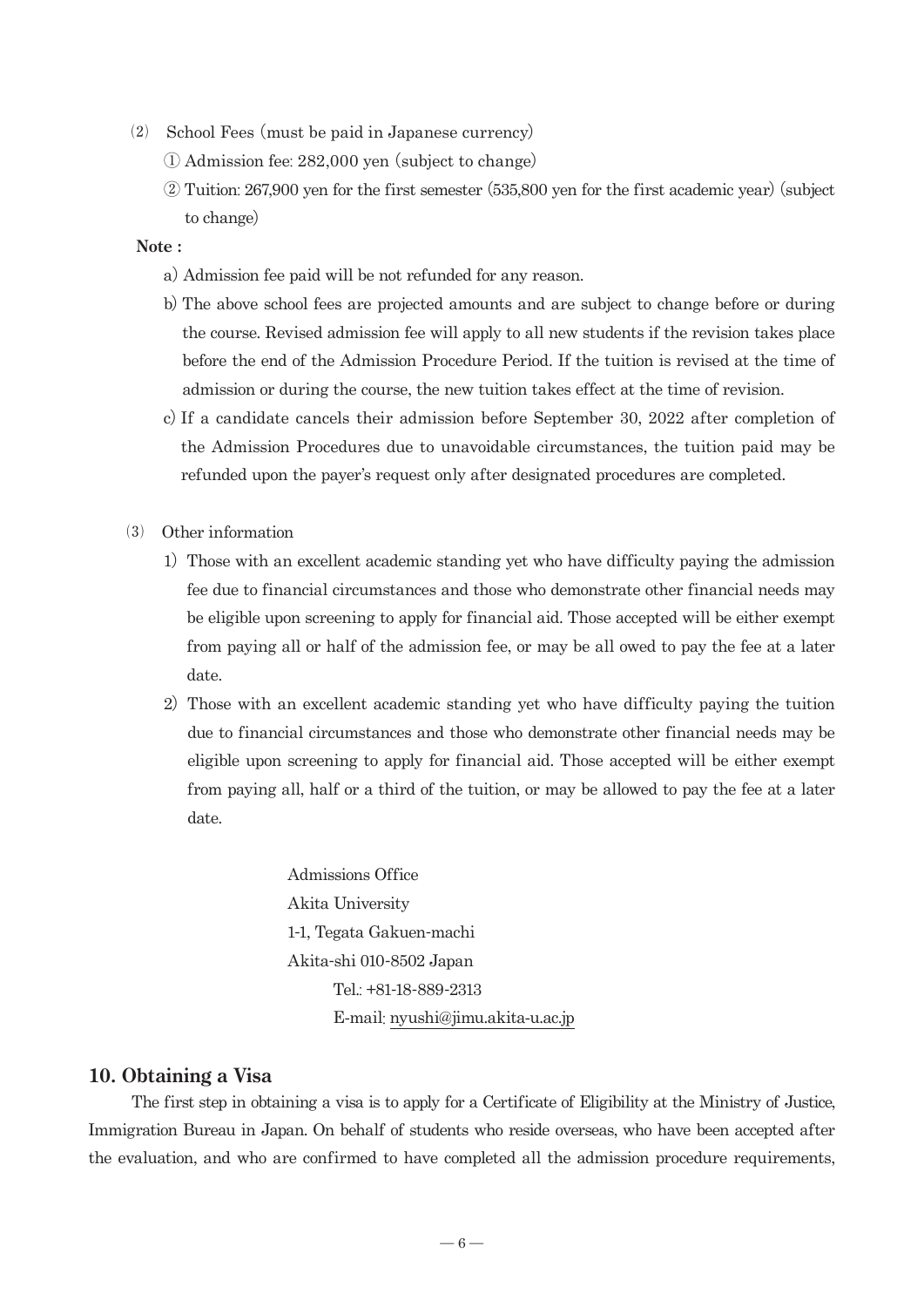- ⑵ School Fees (must be paid in Japanese currency)
	- ① Admission fee: 282,000 yen (subject to change)
	- ② Tuition: 267,900 yen for the first semester (535,800 yen for the first academic year)(subject to change)

#### **Note :**

- a) Admission fee paid will be not refunded for any reason.
- b)The above school fees are projected amounts and are subject to change before or during the course. Revised admission fee will apply to all new students if the revision takes place before the end of the Admission Procedure Period. If the tuition is revised at the time of admission or during the course, the new tuition takes effect at the time of revision.
- c)If a candidate cancels their admission before September 30, 2022 after completion of the Admission Procedures due to unavoidable circumstances, the tuition paid may be refunded upon the payer's request only after designated procedures are completed.
- ⑶ Other information
	- 1) Those with an excellent academic standing yet who have difficulty paying the admission fee due to financial circumstances and those who demonstrate other financial needs may be eligible upon screening to apply for financial aid. Those accepted will be either exempt from paying all or half of the admission fee, or may be all owed to pay the fee at a later date.
	- 2) Those with an excellent academic standing yet who have difficulty paying the tuition due to financial circumstances and those who demonstrate other financial needs may be eligible upon screening to apply for financial aid. Those accepted will be either exempt from paying all, half or a third of the tuition, or may be allowed to pay the fee at a later date.

 Admissions Office Akita University 1-1, Tegata Gakuen-machi Akita-shi 010-8502 Japan Tel.: +81-18-889-2313 E-mail: nyushi@jimu.akita-u.ac.jp

#### **10. Obtaining a Visa**

The first step in obtaining a visa is to apply for a Certificate of Eligibility at the Ministry of Justice, Immigration Bureau in Japan. On behalf of students who reside overseas, who have been accepted after the evaluation, and who are confirmed to have completed all the admission procedure requirements,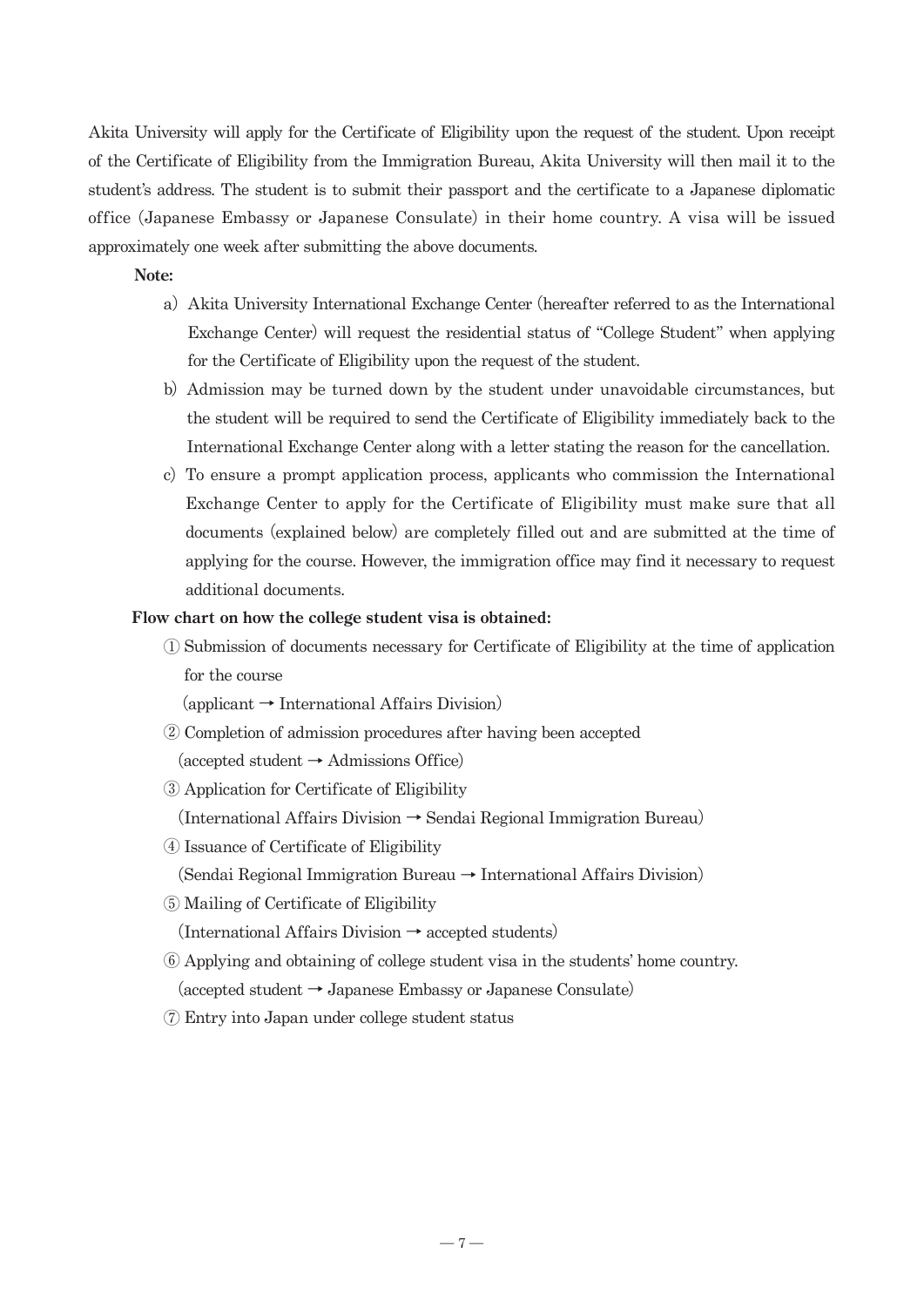Akita University will apply for the Certificate of Eligibility upon the request of the student. Upon receipt of the Certificate of Eligibility from the Immigration Bureau, Akita University will then mail it to the student's address. The student is to submit their passport and the certificate to a Japanese diplomatic office (Japanese Embassy or Japanese Consulate) in their home country. A visa will be issued approximately one week after submitting the above documents.

#### **Note:**

- a) Akita University International Exchange Center (hereafter referred to as the International Exchange Center) will request the residential status of "College Student" when applying for the Certificate of Eligibility upon the request of the student.
- b) Admission may be turned down by the student under unavoidable circumstances, but the student will be required to send the Certificate of Eligibility immediately back to the International Exchange Center along with a letter stating the reason for the cancellation.
- c) To ensure a prompt application process, applicants who commission the International Exchange Center to apply for the Certificate of Eligibility must make sure that all documents (explained below) are completely filled out and are submitted at the time of applying for the course. However, the immigration office may find it necessary to request additional documents.

#### **Flow chart on how the college student visa is obtained:**

 ① Submission of documents necessary for Certificate of Eligibility at the time of application for the course

(applicant → International Affairs Division)

② Completion of admission procedures after having been accepted

 $(accepted student \rightarrow Admissions Office)$ 

- ③ Application for Certificate of Eligibility
	- (International Affairs Division → Sendai Regional Immigration Bureau)
- ④ Issuance of Certificate of Eligibility
	- (Sendai Regional Immigration Bureau → International Affairs Division)
- ⑤ Mailing of Certificate of Eligibility

(International Affairs Division  $\rightarrow$  accepted students)

- ⑥ Applying and obtaining of college student visa in the students' home country. (accepted student → Japanese Embassy or Japanese Consulate)
- ⑦ Entry into Japan under college student status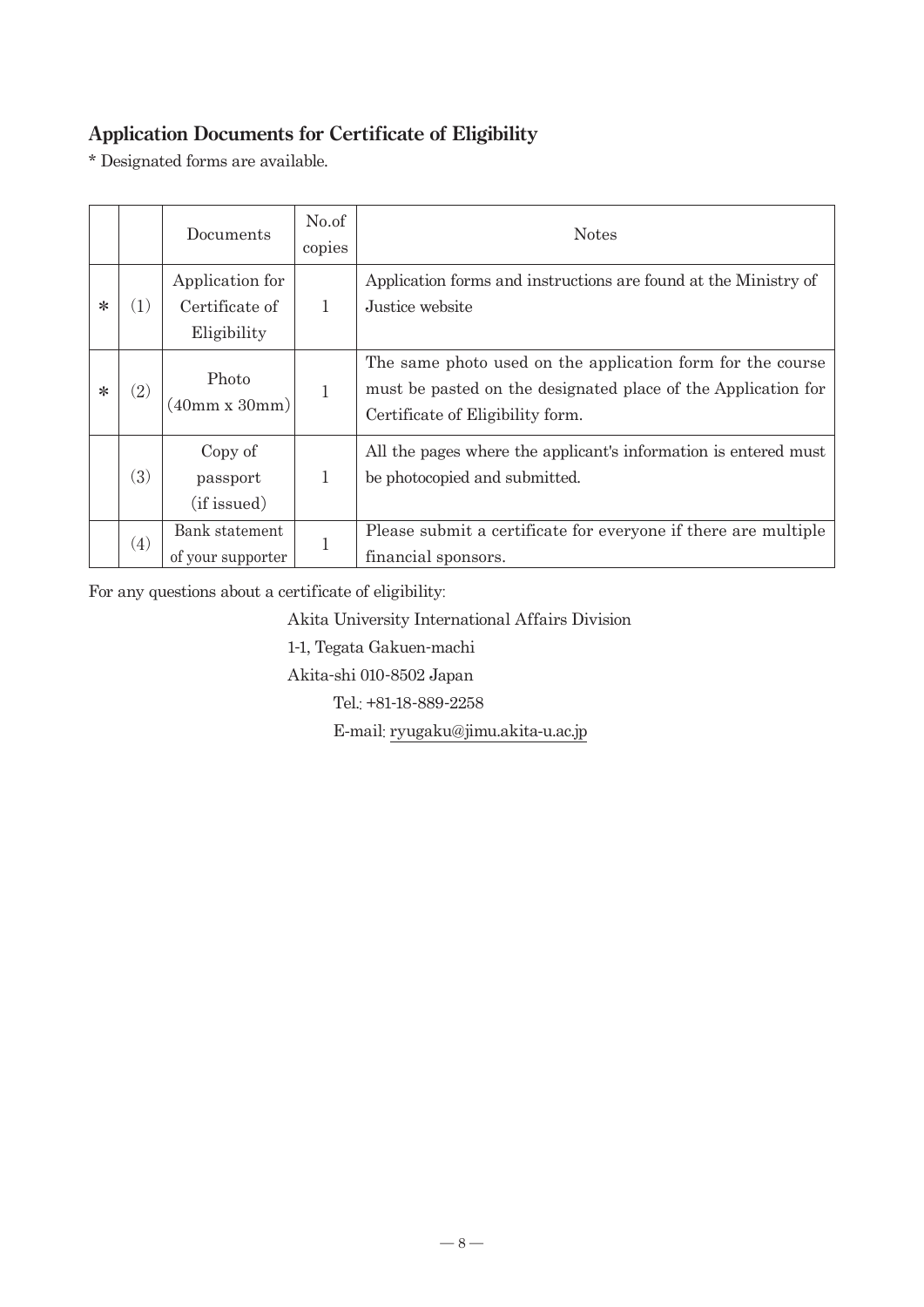# **Application Documents for Certificate of Eligibility**

\* Designated forms are available.

|        |                   | Documents                                        | No.of<br>copies | <b>Notes</b>                                                                                                                                                    |  |
|--------|-------------------|--------------------------------------------------|-----------------|-----------------------------------------------------------------------------------------------------------------------------------------------------------------|--|
| $\ast$ | 1)                | Application for<br>Certificate of<br>Eligibility |                 | Application forms and instructions are found at the Ministry of<br>Justice website                                                                              |  |
| $\ast$ | $\left( 2\right)$ | Photo<br>(40mm x 30mm)                           |                 | The same photo used on the application form for the course<br>must be pasted on the designated place of the Application for<br>Certificate of Eligibility form. |  |
|        | (3)               | Copy of<br>passport<br>(if issued)               |                 | All the pages where the applicant's information is entered must<br>be photocopied and submitted.                                                                |  |
|        | (4)               | Bank statement<br>of your supporter              |                 | Please submit a certificate for everyone if there are multiple<br>financial sponsors.                                                                           |  |

For any questions about a certificate of eligibility:

Akita University International Affairs Division

1-1, Tegata Gakuen-machi

Akita-shi 010-8502 Japan

Tel.: +81-18-889-2258

E-mail: ryugaku@jimu.akita-u.ac.jp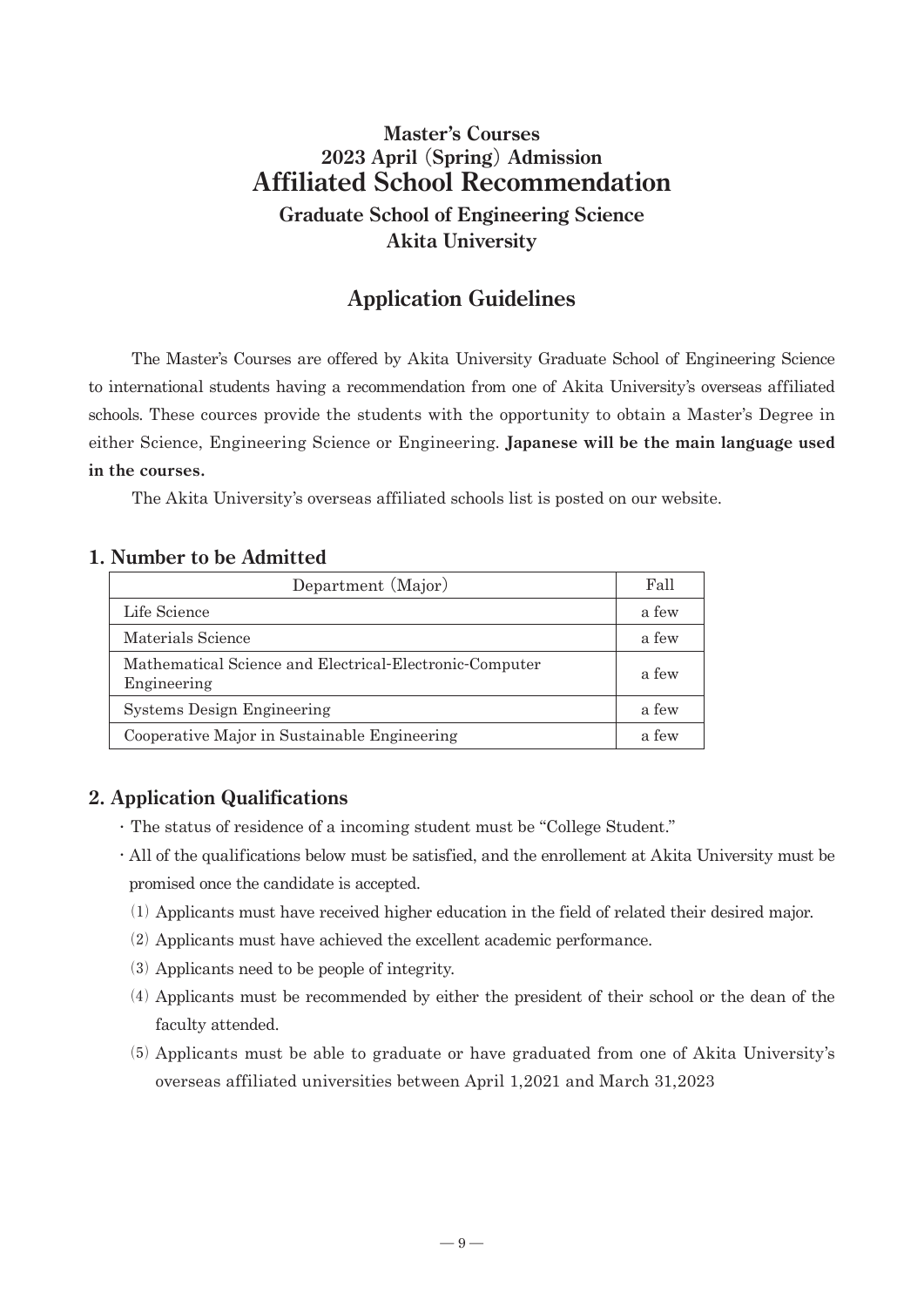# **Master's Courses 2023 April** (**Spring**) **Admission Affiliated School Recommendation**

**Graduate School of Engineering Science Akita University**

# **Application Guidelines**

 The Master's Courses are offered by Akita University Graduate School of Engineering Science to international students having a recommendation from one of Akita University's overseas affiliated schools. These cources provide the students with the opportunity to obtain a Master's Degree in either Science, Engineering Science or Engineering. **Japanese will be the main language used in the courses.**

The Akita University's overseas affiliated schools list is posted on our website.

#### **1. Number to be Admitted**

| Department (Major)                                                     | Fall  |
|------------------------------------------------------------------------|-------|
| Life Science                                                           | a few |
| Materials Science                                                      | a few |
| Mathematical Science and Electrical-Electronic-Computer<br>Engineering | a few |
| Systems Design Engineering                                             | a few |
| Cooperative Major in Sustainable Engineering                           | a few |

## **2. Application Qualifications**

- ・ The status of residence of a incoming student must be "College Student."
- ・ All of the qualifications below must be satisfied, and the enrollement at Akita University must be promised once the candidate is accepted.
	- ⑴ Applicants must have received higher education in the field of related their desired major.
	- ⑵ Applicants must have achieved the excellent academic performance.
	- ⑶ Applicants need to be people of integrity.
	- ⑷ Applicants must be recommended by either the president of their school or the dean of the faculty attended.
	- ⑸ Applicants must be able to graduate or have graduated from one of Akita University's overseas affiliated universities between April 1,2021 and March 31,2023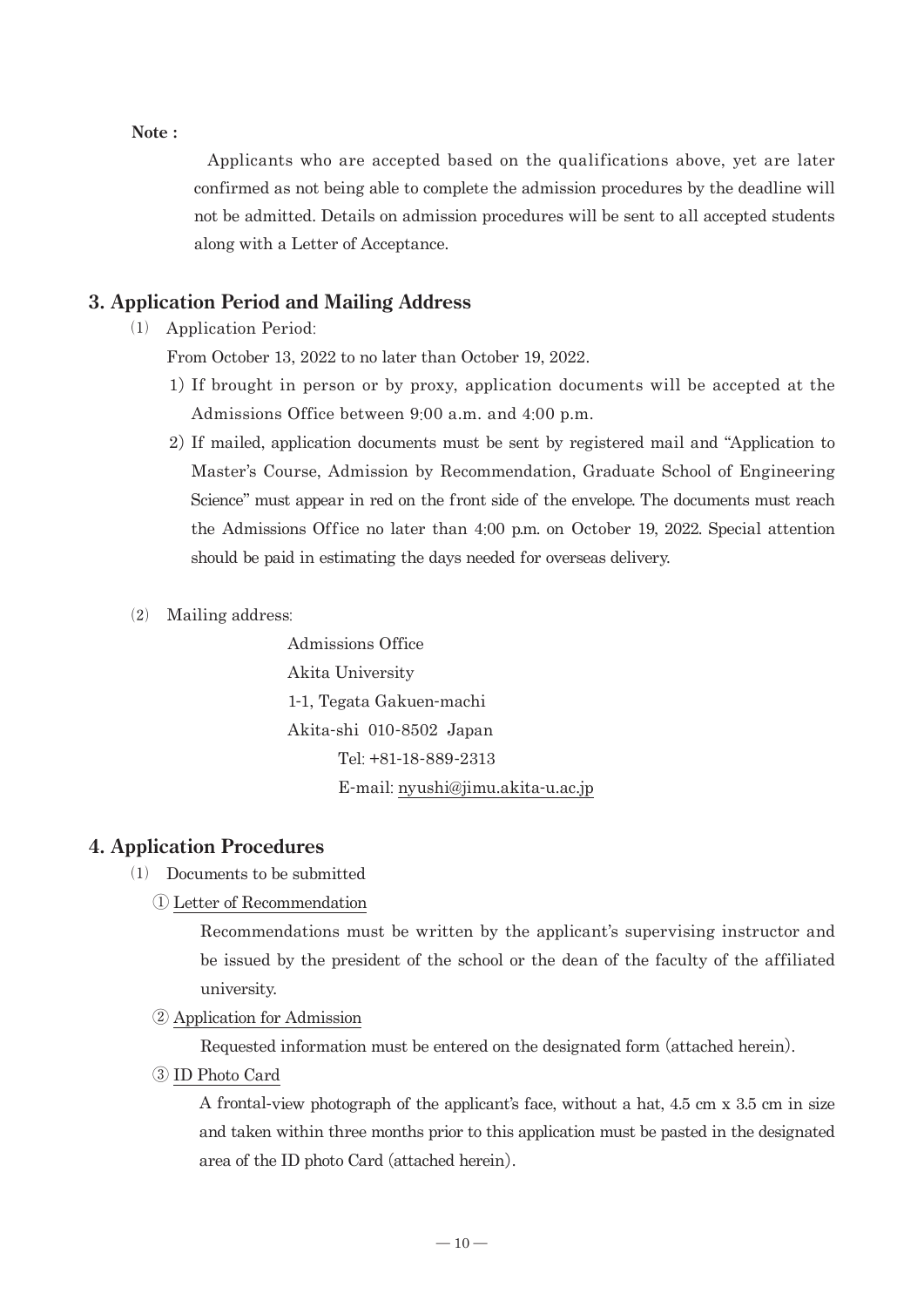#### **Note :**

 Applicants who are accepted based on the qualifications above, yet are later confirmed as not being able to complete the admission procedures by the deadline will not be admitted. Details on admission procedures will be sent to all accepted students along with a Letter of Acceptance.

#### **3. Application Period and Mailing Address**

⑴ Application Period:

From October 13, 2022 to no later than October 19, 2022.

- 1)If brought in person or by proxy, application documents will be accepted at the Admissions Office between 9:00 a.m. and 4:00 p.m.
- 2)If mailed, application documents must be sent by registered mail and "Application to Master's Course, Admission by Recommendation, Graduate School of Engineering Science" must appear in red on the front side of the envelope. The documents must reach the Admissions Office no later than 4:00 p.m. on October 19, 2022. Special attention should be paid in estimating the days needed for overseas delivery.
- ⑵ Mailing address:

 Admissions Office Akita University 1-1, Tegata Gakuen-machi Akita-shi 010-8502 Japan Tel: +81-18-889-2313 E-mail: nyushi@jimu.akita-u.ac.jp

#### **4. Application Procedures**

- ⑴ Documents to be submitted
	- ① Letter of Recommendation

 Recommendations must be written by the applicant's supervising instructor and be issued by the president of the school or the dean of the faculty of the affiliated university.

② Application for Admission

Requested information must be entered on the designated form (attached herein).

③ ID Photo Card

 A frontal-view photograph of the applicant's face, without a hat, 4.5 cm x 3.5 cm in size and taken within three months prior to this application must be pasted in the designated area of the ID photo Card (attached herein).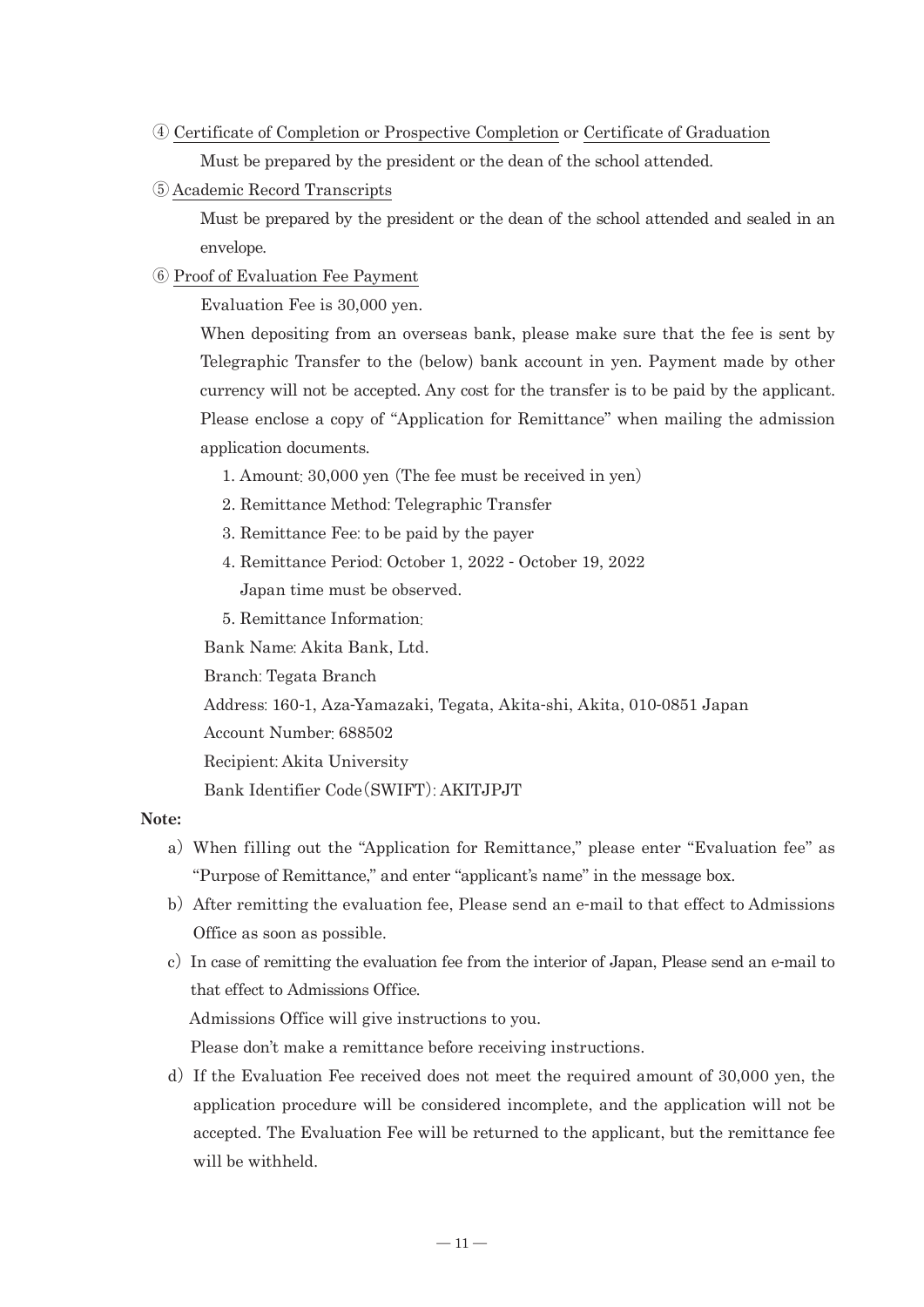- ④ Certificate of Completion or Prospective Completion or Certificate of Graduation Must be prepared by the president or the dean of the school attended.
- ⑤ Academic Record Transcripts

 Must be prepared by the president or the dean of the school attended and sealed in an envelope.

#### ⑥ Proof of Evaluation Fee Payment

Evaluation Fee is 30,000 yen.

When depositing from an overseas bank, please make sure that the fee is sent by Telegraphic Transfer to the (below) bank account in yen. Payment made by other currency will not be accepted. Any cost for the transfer is to be paid by the applicant. Please enclose a copy of "Application for Remittance" when mailing the admission application documents.

- 1. Amount: 30,000 yen (The fee must be received in yen)
- 2. Remittance Method: Telegraphic Transfer
- 3. Remittance Fee: to be paid by the payer
- 4. Remittance Period: October 1, 2022 October 19, 2022 Japan time must be observed.
- 5. Remittance Information:

Bank Name: Akita Bank, Ltd.

Branch: Tegata Branch

Address: 160-1, Aza-Yamazaki, Tegata, Akita-shi, Akita, 010-0851 Japan

Account Number: 688502

Recipient: Akita University

Bank Identifier Code(SWIFT): AKITJPJT

#### **Note:**

- a)When filling out the "Application for Remittance," please enter "Evaluation fee" as "Purpose of Remittance," and enter "applicant's name" in the message box.
- b)After remitting the evaluation fee, Please send an e-mail to that effect to Admissions Office as soon as possible.
- c) In case of remitting the evaluation fee from the interior of Japan, Please send an e-mail to that effect to Admissions Office. Admissions Office will give instructions to you.

Please don't make a remittance before receiving instructions.

d) If the Evaluation Fee received does not meet the required amount of  $30,000$  yen, the application procedure will be considered incomplete, and the application will not be accepted. The Evaluation Fee will be returned to the applicant, but the remittance fee will be withheld.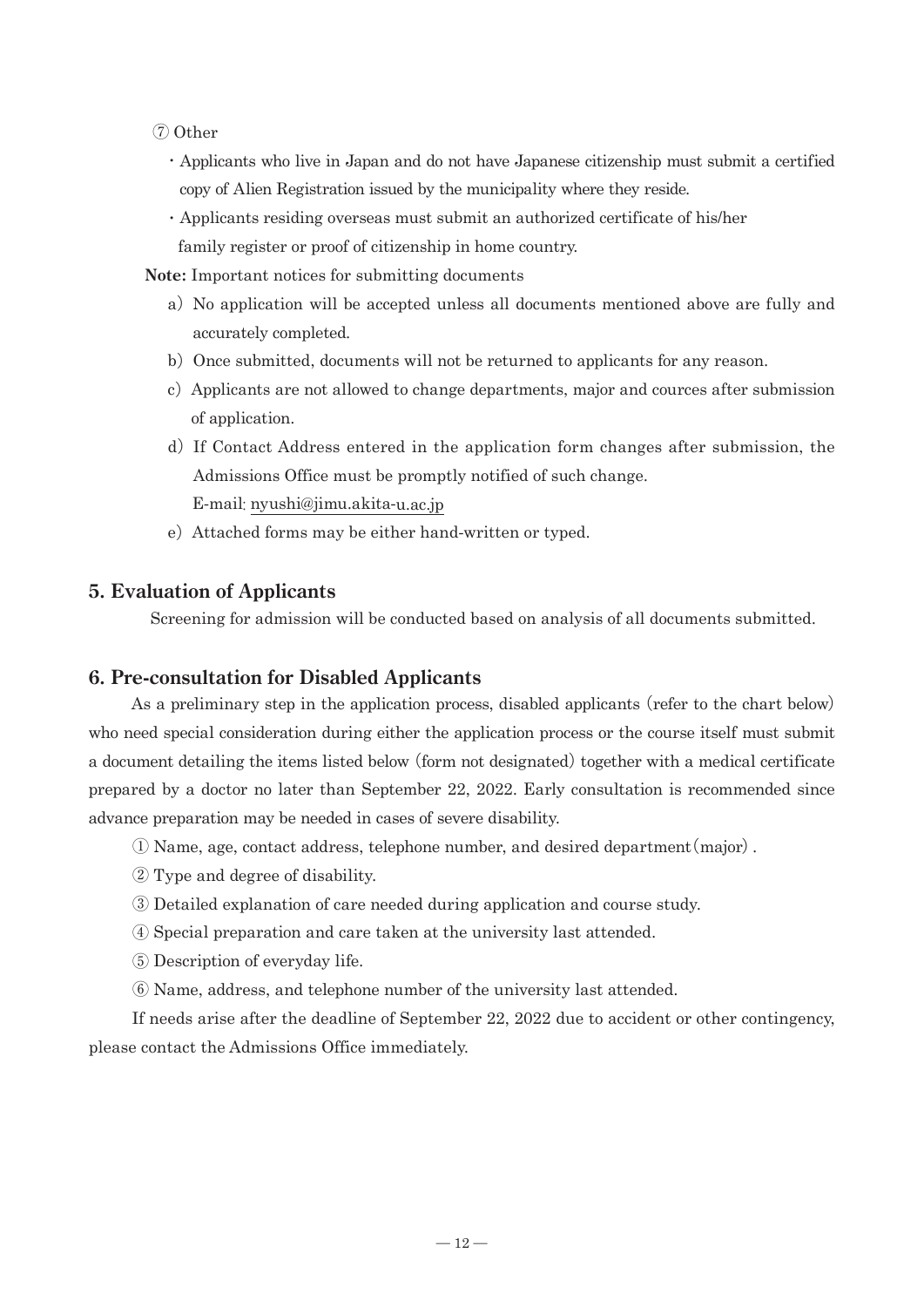- ⑦ Other
	- ・Applicants who live in Japan and do not have Japanese citizenship must submit a certified copy of Alien Registration issued by the municipality where they reside.
	- ・Applicants residing overseas must submit an authorized certificate of his/her family register or proof of citizenship in home country.

 **Note:** Important notices for submitting documents

- a) No application will be accepted unless all documents mentioned above are fully and accurately completed.
- b) Once submitted, documents will not be returned to applicants for any reason.
- c) Applicants are not allowed to change departments, major and cources after submission of application.
- d) If Contact Address entered in the application form changes after submission, the Admissions Office must be promptly notified of such change. E-mail: nyushi@jimu.akita-u.ac.jp
- e) Attached forms may be either hand-written or typed.

#### **5. Evaluation of Applicants**

Screening for admission will be conducted based on analysis of all documents submitted.

#### **6. Pre-consultation for Disabled Applicants**

 As a preliminary step in the application process, disabled applicants (refer to the chart below) who need special consideration during either the application process or the course itself must submit a document detailing the items listed below (form not designated) together with a medical certificate prepared by a doctor no later than September 22, 2022. Early consultation is recommended since advance preparation may be needed in cases of severe disability.

- ① Name, age, contact address, telephone number, and desired department(major).
- ② Type and degree of disability.
- ③ Detailed explanation of care needed during application and course study.
- ④ Special preparation and care taken at the university last attended.
- ⑤ Description of everyday life.
- ⑥ Name, address, and telephone number of the university last attended.

 If needs arise after the deadline of September 22, 2022 due to accident or other contingency, please contact the Admissions Office immediately.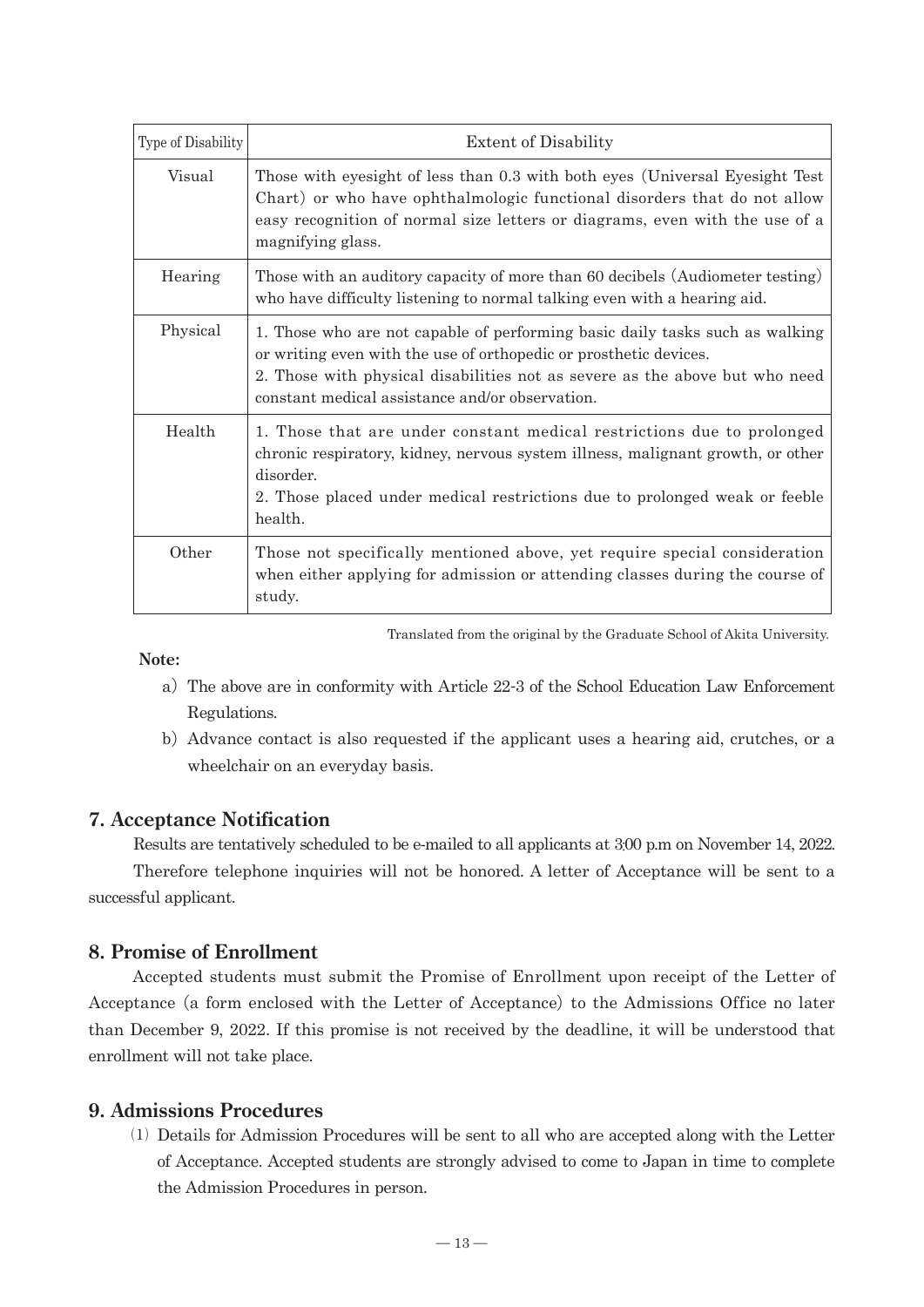| Type of Disability | <b>Extent of Disability</b>                                                                                                                                                                                                                                                         |  |  |
|--------------------|-------------------------------------------------------------------------------------------------------------------------------------------------------------------------------------------------------------------------------------------------------------------------------------|--|--|
| Visual             | Those with eyesight of less than 0.3 with both eyes (Universal Eyesight Test<br>Chart) or who have ophthalmologic functional disorders that do not allow<br>easy recognition of normal size letters or diagrams, even with the use of a<br>magnifying glass.                        |  |  |
| Hearing            | Those with an auditory capacity of more than 60 decibels (Audiometer testing)<br>who have difficulty listening to normal talking even with a hearing aid.                                                                                                                           |  |  |
| Physical           | 1. Those who are not capable of performing basic daily tasks such as walking<br>or writing even with the use of orthopedic or prosthetic devices.<br>2. Those with physical disabilities not as severe as the above but who need<br>constant medical assistance and/or observation. |  |  |
| Health             | 1. Those that are under constant medical restrictions due to prolonged<br>chronic respiratory, kidney, nervous system illness, malignant growth, or other<br>disorder.<br>2. Those placed under medical restrictions due to prolonged weak or feeble<br>health.                     |  |  |
| Other              | Those not specifically mentioned above, yet require special consideration<br>when either applying for admission or attending classes during the course of<br>study.                                                                                                                 |  |  |

Translated from the original by the Graduate School of Akita University.

 **Note:**

- a)The above are in conformity with Article 22-3 of the School Education Law Enforcement Regulations.
- b)Advance contact is also requested if the applicant uses a hearing aid, crutches, or a wheelchair on an everyday basis.

#### **7. Acceptance Notification**

Results are tentatively scheduled to be e-mailed to all applicants at 3:00 p.m on November 14, 2022. Therefore telephone inquiries will not be honored. A letter of Acceptance will be sent to a successful applicant.

#### **8. Promise of Enrollment**

 Accepted students must submit the Promise of Enrollment upon receipt of the Letter of Acceptance (a form enclosed with the Letter of Acceptance) to the Admissions Office no later than December 9, 2022. If this promise is not received by the deadline, it will be understood that enrollment will not take place.

#### **9. Admissions Procedures**

 ⑴ Details for Admission Procedures will be sent to all who are accepted along with the Letter of Acceptance. Accepted students are strongly advised to come to Japan in time to complete the Admission Procedures in person.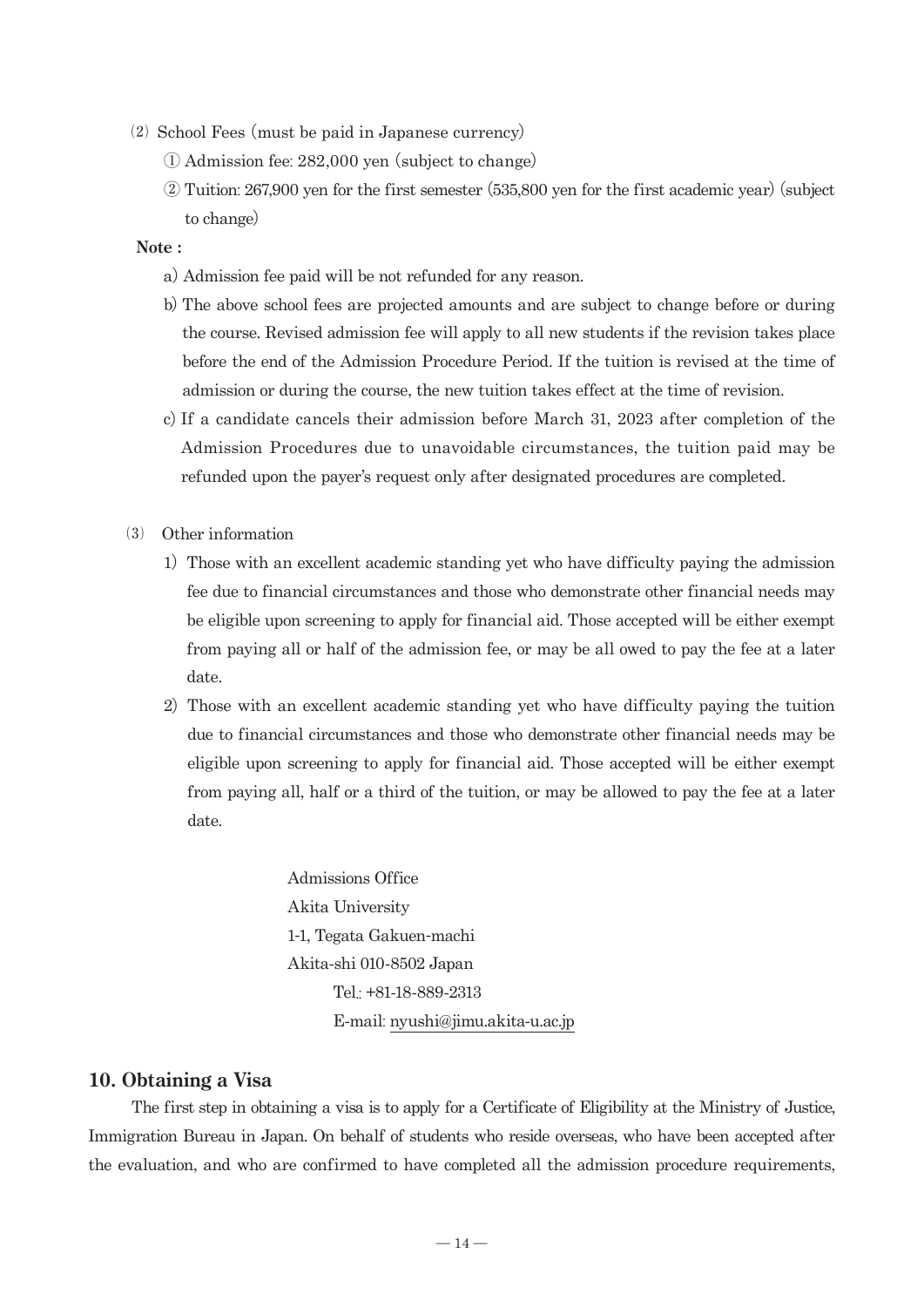- ⑵ School Fees (must be paid in Japanese currency)
	- ① Admission fee: 282,000 yen (subject to change)
	- ② Tuition: 267,900 yen for the first semester (535,800 yen for the first academic year)(subject to change)

#### **Note :**

- a) Admission fee paid will be not refunded for any reason.
- b)The above school fees are projected amounts and are subject to change before or during the course. Revised admission fee will apply to all new students if the revision takes place before the end of the Admission Procedure Period. If the tuition is revised at the time of admission or during the course, the new tuition takes effect at the time of revision.
- c)If a candidate cancels their admission before March 31, 2023 after completion of the Admission Procedures due to unavoidable circumstances, the tuition paid may be refunded upon the payer's request only after designated procedures are completed.
- ⑶ Other information
	- 1) Those with an excellent academic standing yet who have difficulty paying the admission fee due to financial circumstances and those who demonstrate other financial needs may be eligible upon screening to apply for financial aid. Those accepted will be either exempt from paying all or half of the admission fee, or may be all owed to pay the fee at a later date.
	- 2) Those with an excellent academic standing yet who have difficulty paying the tuition due to financial circumstances and those who demonstrate other financial needs may be eligible upon screening to apply for financial aid. Those accepted will be either exempt from paying all, half or a third of the tuition, or may be allowed to pay the fee at a later date.

 Admissions Office Akita University 1-1, Tegata Gakuen-machi Akita-shi 010-8502 Japan Tel.: +81-18-889-2313 E-mail: nyushi@jimu.akita-u.ac.jp

#### **10. Obtaining a Visa**

The first step in obtaining a visa is to apply for a Certificate of Eligibility at the Ministry of Justice, Immigration Bureau in Japan. On behalf of students who reside overseas, who have been accepted after the evaluation, and who are confirmed to have completed all the admission procedure requirements,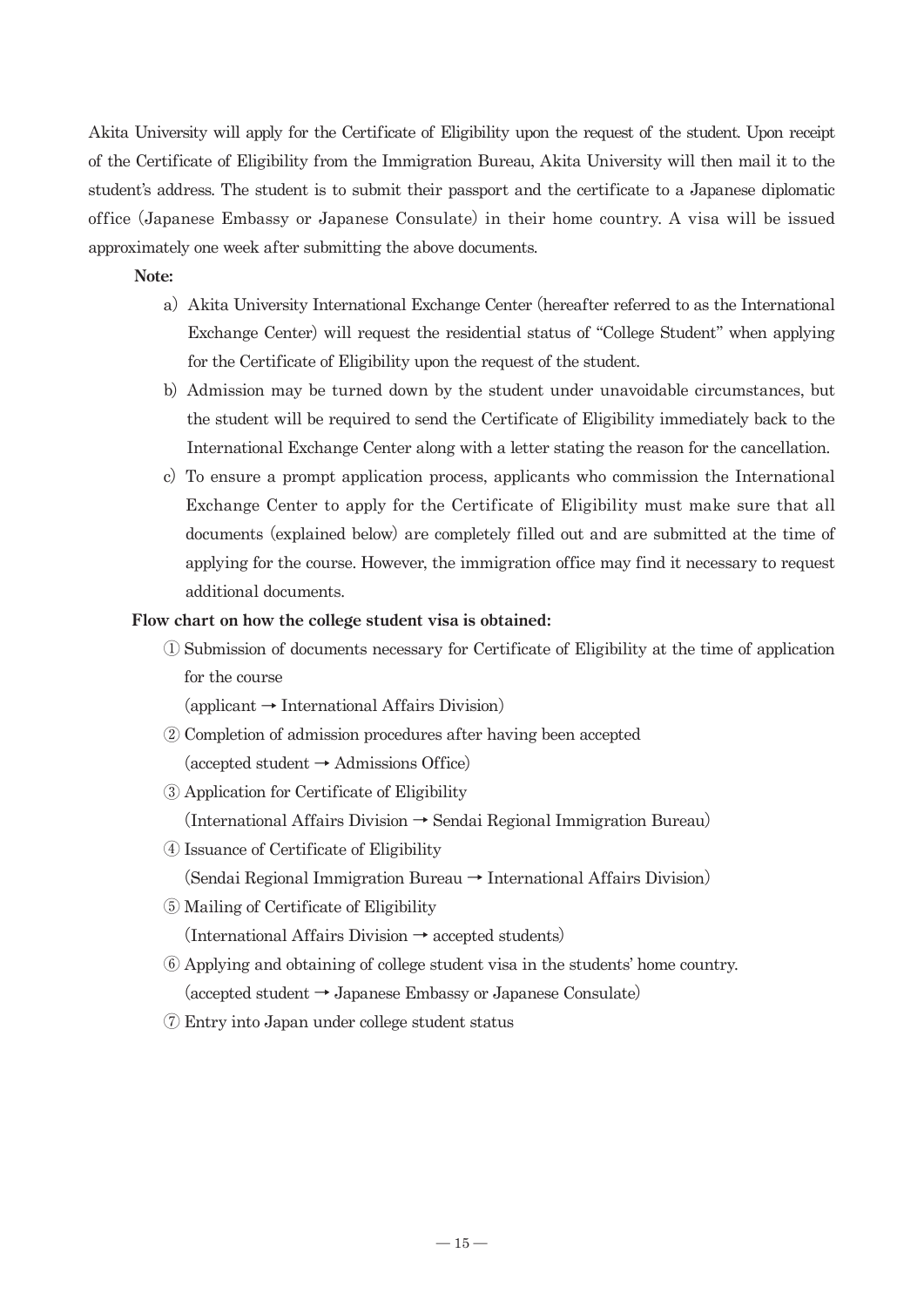Akita University will apply for the Certificate of Eligibility upon the request of the student. Upon receipt of the Certificate of Eligibility from the Immigration Bureau, Akita University will then mail it to the student's address. The student is to submit their passport and the certificate to a Japanese diplomatic office (Japanese Embassy or Japanese Consulate) in their home country. A visa will be issued approximately one week after submitting the above documents.

#### **Note:**

- a) Akita University International Exchange Center (hereafter referred to as the International Exchange Center) will request the residential status of "College Student" when applying for the Certificate of Eligibility upon the request of the student.
- b) Admission may be turned down by the student under unavoidable circumstances, but the student will be required to send the Certificate of Eligibility immediately back to the International Exchange Center along with a letter stating the reason for the cancellation.
- c) To ensure a prompt application process, applicants who commission the International Exchange Center to apply for the Certificate of Eligibility must make sure that all documents (explained below) are completely filled out and are submitted at the time of applying for the course. However, the immigration office may find it necessary to request additional documents.

#### **Flow chart on how the college student visa is obtained:**

 ① Submission of documents necessary for Certificate of Eligibility at the time of application for the course

 $\alpha$  (applicant  $\rightarrow$  International Affairs Division)

- ② Completion of admission procedures after having been accepted  $(accepted student \rightarrow Admissions Office)$
- ③ Application for Certificate of Eligibility

(International Affairs Division → Sendai Regional Immigration Bureau)

④ Issuance of Certificate of Eligibility

(Sendai Regional Immigration Bureau → International Affairs Division)

⑤ Mailing of Certificate of Eligibility

 $(International Affairs Division \rightarrow accepted students)$ 

- ⑥ Applying and obtaining of college student visa in the students' home country. (accepted student → Japanese Embassy or Japanese Consulate)
- ⑦ Entry into Japan under college student status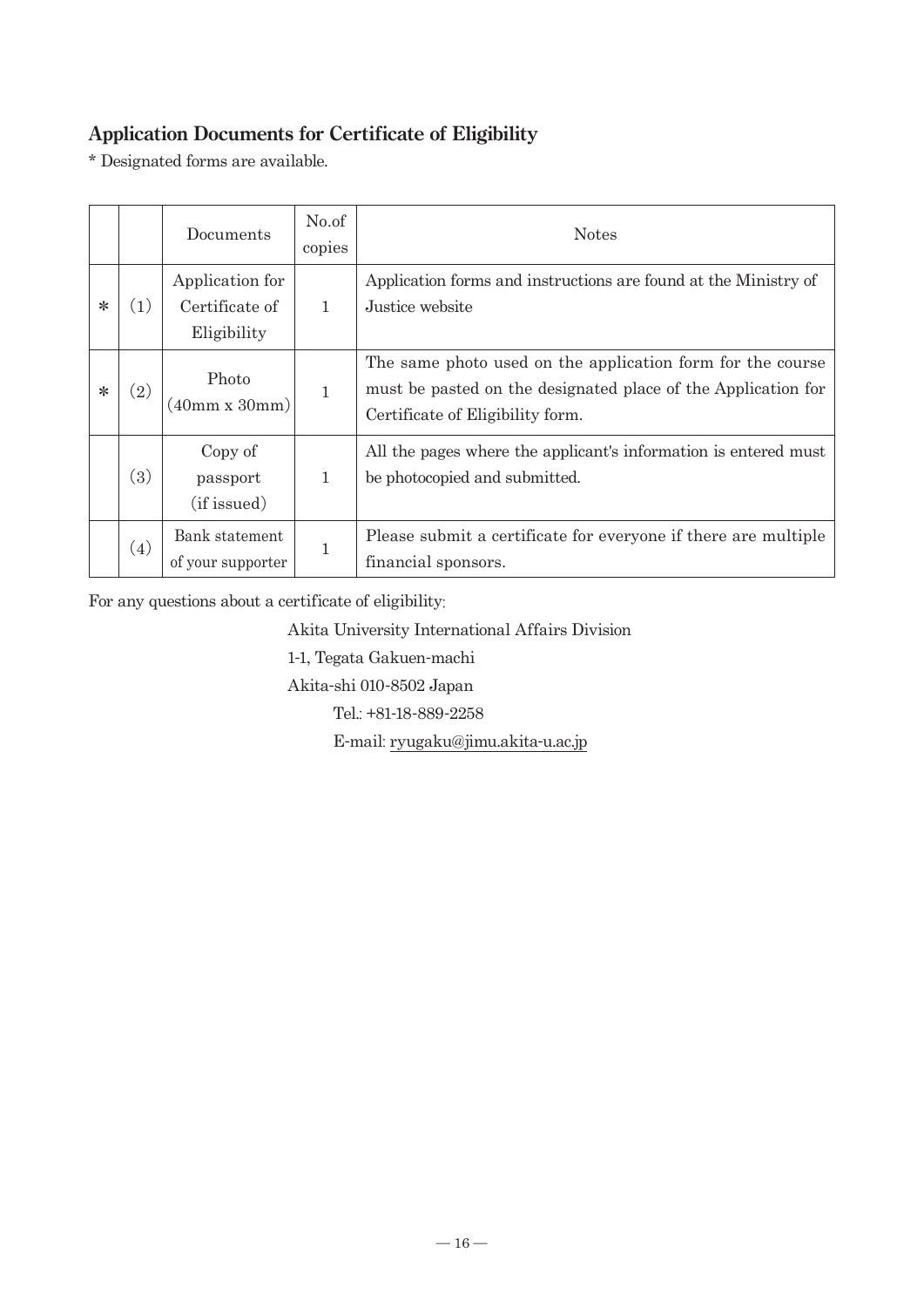# **Application Documents for Certificate of Eligibility**

\* Designated forms are available.

|        |                   | Documents                                        | No.of<br>copies | <b>Notes</b>                                                                                                                                                    |  |
|--------|-------------------|--------------------------------------------------|-----------------|-----------------------------------------------------------------------------------------------------------------------------------------------------------------|--|
| ∗      | $\left(1\right)$  | Application for<br>Certificate of<br>Eligibility | 1               | Application forms and instructions are found at the Ministry of<br>Justice website                                                                              |  |
| $\ast$ | $\left( 2\right)$ | Photo<br>(40mm x 30mm)                           | 1               | The same photo used on the application form for the course<br>must be pasted on the designated place of the Application for<br>Certificate of Eligibility form. |  |
|        | (3)               | Copy of<br>passport<br>(if issued)               | 1               | All the pages where the applicant's information is entered must<br>be photocopied and submitted.                                                                |  |
|        | (4)               | Bank statement<br>of your supporter              | 1               | Please submit a certificate for everyone if there are multiple<br>financial sponsors.                                                                           |  |

For any questions about a certificate of eligibility:

Akita University International Affairs Division

1-1, Tegata Gakuen-machi

Akita-shi 010-8502 Japan

Tel.: +81-18-889-2258

E-mail: ryugaku@jimu.akita-u.ac.jp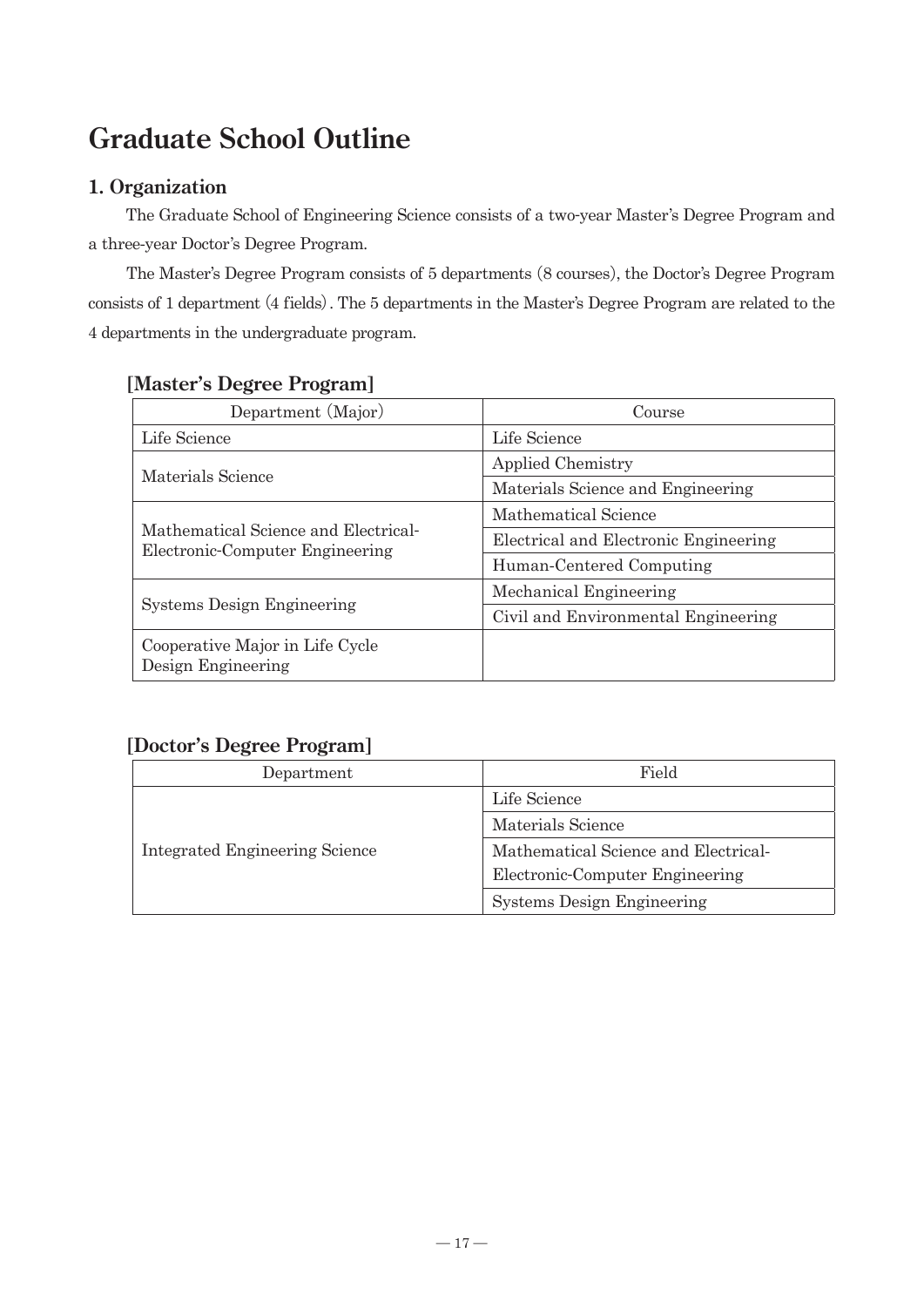# **Graduate School Outline**

## **1. Organization**

 The Graduate School of Engineering Science consists of a two-year Master's Degree Program and a three-year Doctor's Degree Program.

 The Master's Degree Program consists of 5 departments (8 courses), the Doctor's Degree Program consists of 1 department (4 fields). The 5 departments in the Master's Degree Program are related to the 4 departments in the undergraduate program.

| Department (Major)                                                      | Course                                |  |
|-------------------------------------------------------------------------|---------------------------------------|--|
| Life Science                                                            | Life Science                          |  |
| Materials Science                                                       | <b>Applied Chemistry</b>              |  |
|                                                                         | Materials Science and Engineering     |  |
|                                                                         | Mathematical Science                  |  |
| Mathematical Science and Electrical-<br>Electronic-Computer Engineering | Electrical and Electronic Engineering |  |
|                                                                         | Human-Centered Computing              |  |
|                                                                         | Mechanical Engineering                |  |
| <b>Systems Design Engineering</b>                                       | Civil and Environmental Engineering   |  |
| Cooperative Major in Life Cycle<br>Design Engineering                   |                                       |  |

## **[Master's Degree Program]**

## **[Doctor's Degree Program]**

| Department                     | Field                                |  |
|--------------------------------|--------------------------------------|--|
|                                | Life Science                         |  |
|                                | Materials Science                    |  |
| Integrated Engineering Science | Mathematical Science and Electrical- |  |
|                                | Electronic-Computer Engineering      |  |
|                                | <b>Systems Design Engineering</b>    |  |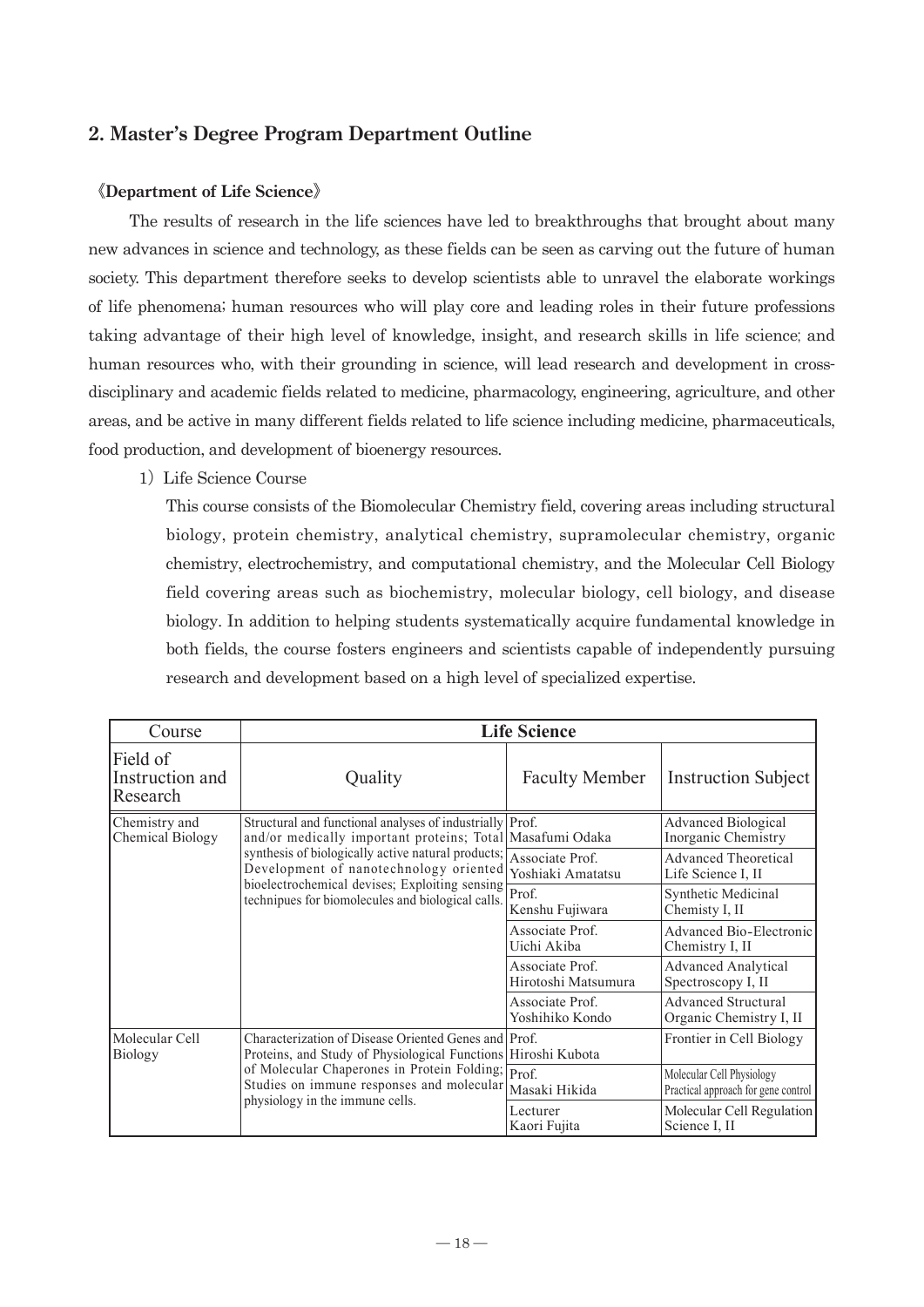## **2. Master's Degree Program Department Outline**

#### 《**Department of Life Science**》

 The results of research in the life sciences have led to breakthroughs that brought about many new advances in science and technology, as these fields can be seen as carving out the future of human society. This department therefore seeks to develop scientists able to unravel the elaborate workings of life phenomena; human resources who will play core and leading roles in their future professions taking advantage of their high level of knowledge, insight, and research skills in life science; and human resources who, with their grounding in science, will lead research and development in crossdisciplinary and academic fields related to medicine, pharmacology, engineering, agriculture, and other areas, and be active in many different fields related to life science including medicine, pharmaceuticals, food production, and development of bioenergy resources.

1) Life Science Course

This course consists of the Biomolecular Chemistry field, covering areas including structural biology, protein chemistry, analytical chemistry, supramolecular chemistry, organic chemistry, electrochemistry, and computational chemistry, and the Molecular Cell Biology field covering areas such as biochemistry, molecular biology, cell biology, and disease biology. In addition to helping students systematically acquire fundamental knowledge in both fields, the course fosters engineers and scientists capable of independently pursuing research and development based on a high level of specialized expertise.

| Course                                  | <b>Life Science</b>                                                                                                                                                                                                                                                                                                          |                                        |                                                                  |  |
|-----------------------------------------|------------------------------------------------------------------------------------------------------------------------------------------------------------------------------------------------------------------------------------------------------------------------------------------------------------------------------|----------------------------------------|------------------------------------------------------------------|--|
| Field of<br>Instruction and<br>Research | Quality                                                                                                                                                                                                                                                                                                                      | <b>Faculty Member</b>                  | <b>Instruction Subject</b>                                       |  |
| Chemistry and<br>Chemical Biology       | Structural and functional analyses of industrially Prof.<br>and/or medically important proteins; Total Masafumi Odaka<br>synthesis of biologically active natural products;<br>Development of nanotechnology oriented<br>bioelectrochemical devises; Exploiting sensing<br>technipues for biomolecules and biological calls. |                                        | Advanced Biological<br>Inorganic Chemistry                       |  |
|                                         |                                                                                                                                                                                                                                                                                                                              | Associate Prof.<br>Yoshiaki Amatatsu   | Advanced Theoretical<br>Life Science I, II                       |  |
|                                         |                                                                                                                                                                                                                                                                                                                              | Prof.<br>Kenshu Fujiwara               | Synthetic Medicinal<br>Chemisty I, II                            |  |
|                                         |                                                                                                                                                                                                                                                                                                                              | Associate Prof.<br>Uichi Akiba         | Advanced Bio-Electronic<br>Chemistry I, II                       |  |
|                                         |                                                                                                                                                                                                                                                                                                                              | Associate Prof.<br>Hirotoshi Matsumura | <b>Advanced Analytical</b><br>Spectroscopy I, II                 |  |
|                                         |                                                                                                                                                                                                                                                                                                                              | Associate Prof.<br>Yoshihiko Kondo     | <b>Advanced Structural</b><br>Organic Chemistry I, II            |  |
| Molecular Cell<br>Biology               | Characterization of Disease Oriented Genes and Prof.<br>Proteins, and Study of Physiological Functions Hiroshi Kubota<br>of Molecular Chaperones in Protein Folding; $\boxed{\text{Prof.}}$<br>Studies on immune responses and molecular<br>physiology in the immune cells.                                                  |                                        | Frontier in Cell Biology                                         |  |
|                                         |                                                                                                                                                                                                                                                                                                                              | Masaki Hikida                          | Molecular Cell Physiology<br>Practical approach for gene control |  |
|                                         |                                                                                                                                                                                                                                                                                                                              | Lecturer<br>Kaori Fujita               | Molecular Cell Regulation<br>Science I, II                       |  |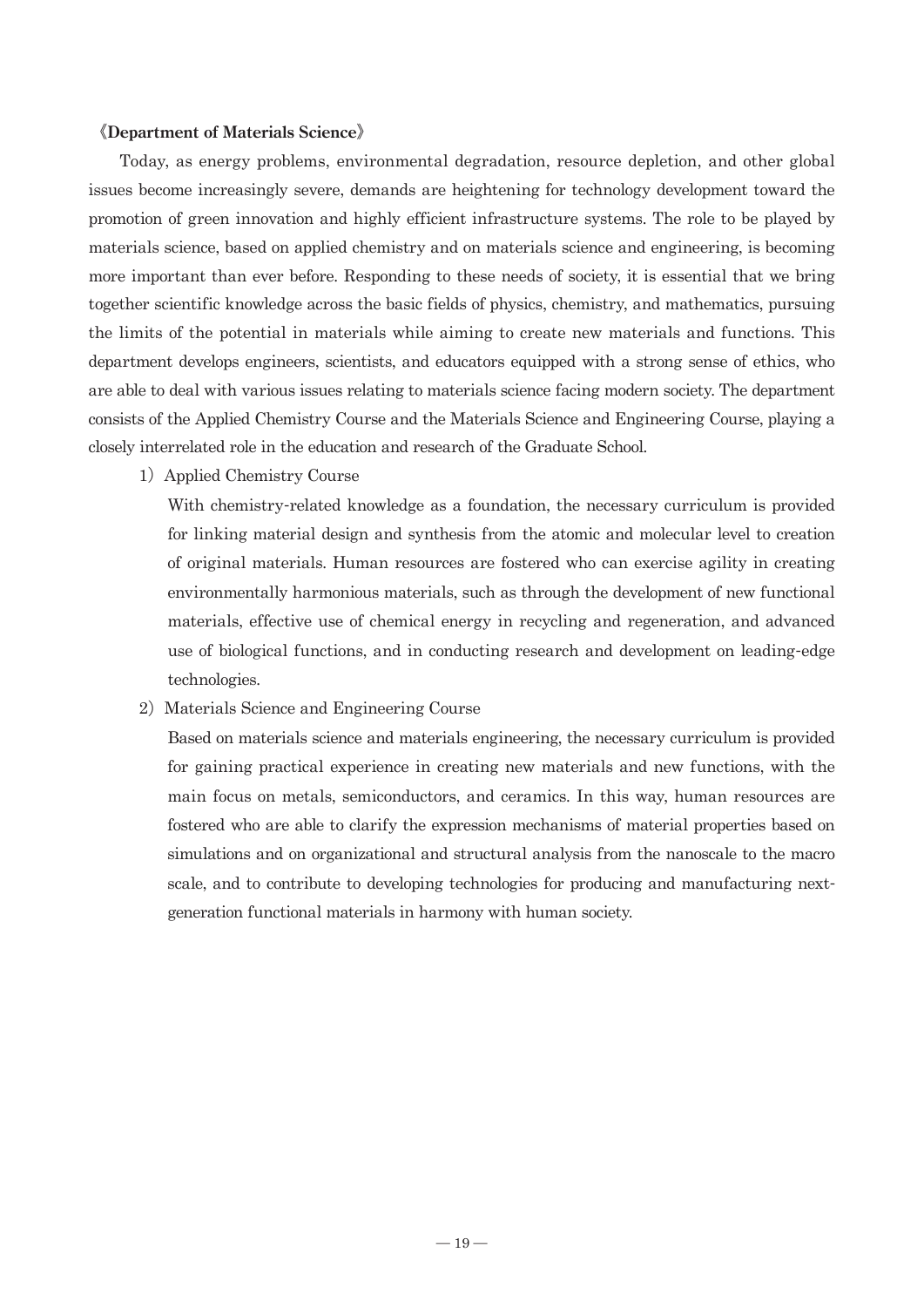#### 《**Department of Materials Science**》

 Today, as energy problems, environmental degradation, resource depletion, and other global issues become increasingly severe, demands are heightening for technology development toward the promotion of green innovation and highly efficient infrastructure systems. The role to be played by materials science, based on applied chemistry and on materials science and engineering, is becoming more important than ever before. Responding to these needs of society, it is essential that we bring together scientific knowledge across the basic fields of physics, chemistry, and mathematics, pursuing the limits of the potential in materials while aiming to create new materials and functions. This department develops engineers, scientists, and educators equipped with a strong sense of ethics, who are able to deal with various issues relating to materials science facing modern society. The department consists of the Applied Chemistry Course and the Materials Science and Engineering Course, playing a closely interrelated role in the education and research of the Graduate School.

1) Applied Chemistry Course

With chemistry-related knowledge as a foundation, the necessary curriculum is provided for linking material design and synthesis from the atomic and molecular level to creation of original materials. Human resources are fostered who can exercise agility in creating environmentally harmonious materials, such as through the development of new functional materials, effective use of chemical energy in recycling and regeneration, and advanced use of biological functions, and in conducting research and development on leading-edge technologies.

2) Materials Science and Engineering Course

Based on materials science and materials engineering, the necessary curriculum is provided for gaining practical experience in creating new materials and new functions, with the main focus on metals, semiconductors, and ceramics. In this way, human resources are fostered who are able to clarify the expression mechanisms of material properties based on simulations and on organizational and structural analysis from the nanoscale to the macro scale, and to contribute to developing technologies for producing and manufacturing nextgeneration functional materials in harmony with human society.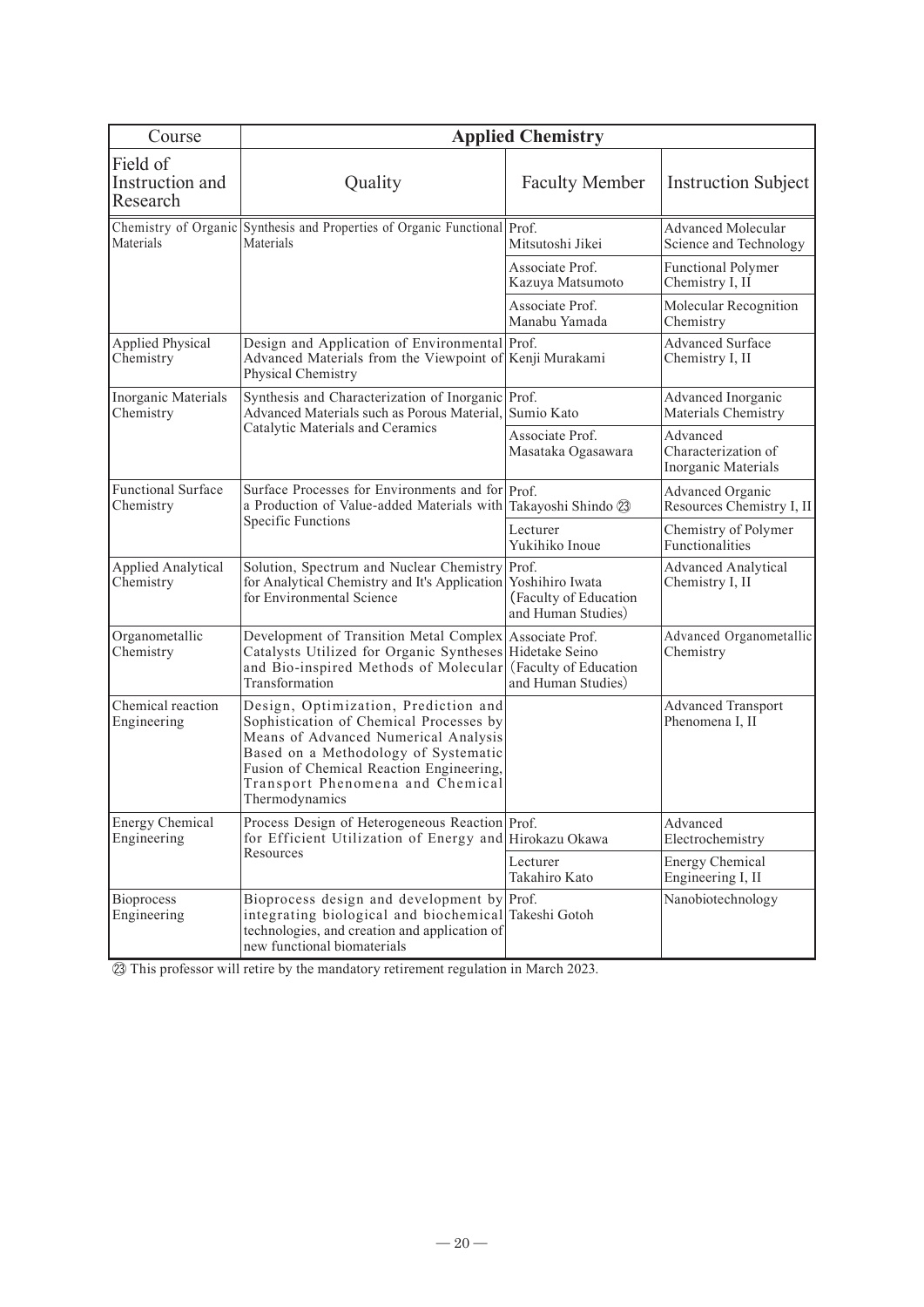| Course                                  | <b>Applied Chemistry</b>                                                                                                                                                                                                                                          |                                             |                                                        |  |  |
|-----------------------------------------|-------------------------------------------------------------------------------------------------------------------------------------------------------------------------------------------------------------------------------------------------------------------|---------------------------------------------|--------------------------------------------------------|--|--|
| Field of<br>Instruction and<br>Research | Quality                                                                                                                                                                                                                                                           | <b>Faculty Member</b>                       | <b>Instruction Subject</b>                             |  |  |
| Materials                               | Chemistry of Organic Synthesis and Properties of Organic Functional Prof.<br>Materials                                                                                                                                                                            | Mitsutoshi Jikei                            | <b>Advanced Molecular</b><br>Science and Technology    |  |  |
|                                         |                                                                                                                                                                                                                                                                   | Associate Prof.<br>Kazuya Matsumoto         | <b>Functional Polymer</b><br>Chemistry I, II           |  |  |
|                                         |                                                                                                                                                                                                                                                                   | Associate Prof.<br>Manabu Yamada            | Molecular Recognition<br>Chemistry                     |  |  |
| <b>Applied Physical</b><br>Chemistry    | Design and Application of Environmental Prof.<br>Advanced Materials from the Viewpoint of Kenji Murakami<br>Physical Chemistry                                                                                                                                    |                                             | Advanced Surface<br>Chemistry I, II                    |  |  |
| Inorganic Materials<br>Chemistry        | Synthesis and Characterization of Inorganic Prof.<br>Advanced Materials such as Porous Material, Sumio Kato                                                                                                                                                       |                                             | Advanced Inorganic<br>Materials Chemistry              |  |  |
|                                         | Catalytic Materials and Ceramics                                                                                                                                                                                                                                  | Associate Prof.<br>Masataka Ogasawara       | Advanced<br>Characterization of<br>Inorganic Materials |  |  |
| <b>Functional Surface</b><br>Chemistry  | Surface Processes for Environments and for Prof.<br>a Production of Value-added Materials with<br><b>Specific Functions</b>                                                                                                                                       | Takayoshi Shindo 23                         | Advanced Organic<br>Resources Chemistry I, II          |  |  |
|                                         |                                                                                                                                                                                                                                                                   | Lecturer<br>Yukihiko Inoue                  | Chemistry of Polymer<br>Functionalities                |  |  |
| <b>Applied Analytical</b><br>Chemistry  | Solution, Spectrum and Nuclear Chemistry Prof.<br>for Analytical Chemistry and It's Application Yoshihiro Iwata<br>for Environmental Science                                                                                                                      | (Faculty of Education<br>and Human Studies) | <b>Advanced Analytical</b><br>Chemistry I, II          |  |  |
| Organometallic<br>Chemistry             | Development of Transition Metal Complex Associate Prof.<br>Catalysts Utilized for Organic Syntheses Hidetake Seino<br>and Bio-inspired Methods of Molecular<br>Transformation                                                                                     | (Faculty of Education<br>and Human Studies) | Advanced Organometallic<br>Chemistry                   |  |  |
| Chemical reaction<br>Engineering        | Design, Optimization, Prediction and<br>Sophistication of Chemical Processes by<br>Means of Advanced Numerical Analysis<br>Based on a Methodology of Systematic<br>Fusion of Chemical Reaction Engineering,<br>Transport Phenomena and Chemical<br>Thermodynamics |                                             | <b>Advanced Transport</b><br>Phenomena I, II           |  |  |
| <b>Energy Chemical</b><br>Engineering   | Process Design of Heterogeneous Reaction Prof.<br>for Efficient Utilization of Energy and Hirokazu Okawa                                                                                                                                                          |                                             | Advanced<br>Electrochemistry                           |  |  |
|                                         | Resources                                                                                                                                                                                                                                                         | Lecturer<br>Takahiro Kato                   | <b>Energy Chemical</b><br>Engineering I, II            |  |  |
| <b>Bioprocess</b><br>Engineering        | Bioprocess design and development by Prof.<br>integrating biological and biochemical Takeshi Gotoh<br>technologies, and creation and application of<br>new functional biomaterials                                                                                |                                             | Nanobiotechnology                                      |  |  |

㉓ This professor will retire by the mandatory retirement regulation in March 2023.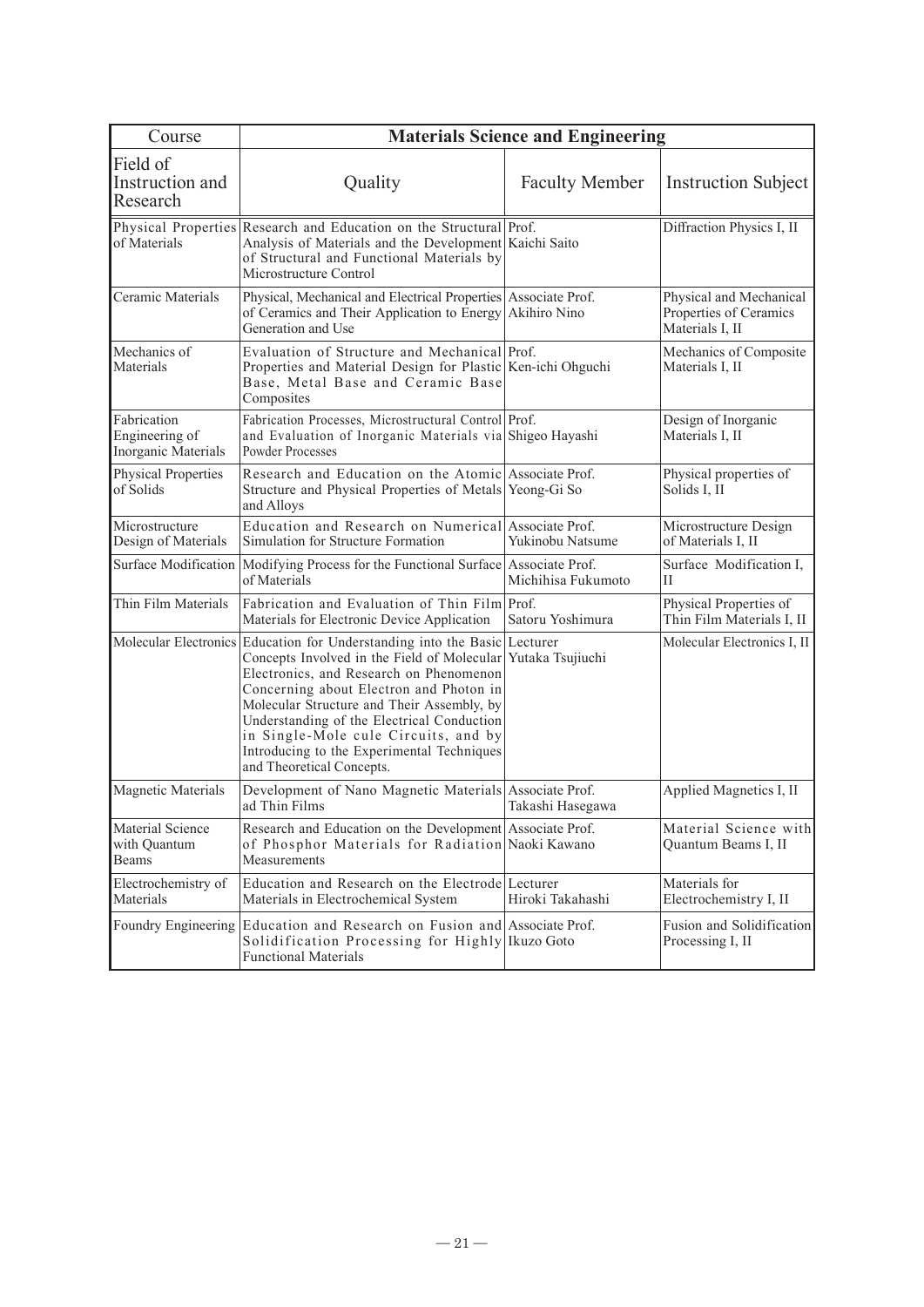| Course                                               | <b>Materials Science and Engineering</b>                                                                                                                                                                                                                                                                                                                                                                                                       |                       |                                                                      |  |  |
|------------------------------------------------------|------------------------------------------------------------------------------------------------------------------------------------------------------------------------------------------------------------------------------------------------------------------------------------------------------------------------------------------------------------------------------------------------------------------------------------------------|-----------------------|----------------------------------------------------------------------|--|--|
| Field of<br>Instruction and<br>Research              | Quality                                                                                                                                                                                                                                                                                                                                                                                                                                        | <b>Faculty Member</b> | <b>Instruction Subject</b>                                           |  |  |
| of Materials                                         | Physical Properties Research and Education on the Structural Prof.<br>Analysis of Materials and the Development Kaichi Saito<br>of Structural and Functional Materials by<br>Microstructure Control                                                                                                                                                                                                                                            |                       | Diffraction Physics I, II                                            |  |  |
| Ceramic Materials                                    | Physical, Mechanical and Electrical Properties Associate Prof.<br>of Ceramics and Their Application to Energy Akihiro Nino<br>Generation and Use                                                                                                                                                                                                                                                                                               |                       | Physical and Mechanical<br>Properties of Ceramics<br>Materials I, II |  |  |
| Mechanics of<br>Materials                            | Evaluation of Structure and Mechanical Prof.<br>Properties and Material Design for Plastic Ken-ichi Ohguchi<br>Base, Metal Base and Ceramic Base<br>Composites                                                                                                                                                                                                                                                                                 |                       | Mechanics of Composite<br>Materials I, II                            |  |  |
| Fabrication<br>Engineering of<br>Inorganic Materials | Fabrication Processes, Microstructural Control Prof.<br>and Evaluation of Inorganic Materials via Shigeo Hayashi<br><b>Powder Processes</b>                                                                                                                                                                                                                                                                                                    |                       | Design of Inorganic<br>Materials I, II                               |  |  |
| Physical Properties<br>of Solids                     | Research and Education on the Atomic Associate Prof.<br>Structure and Physical Properties of Metals Yeong-Gi So<br>and Alloys                                                                                                                                                                                                                                                                                                                  |                       | Physical properties of<br>Solids I, II                               |  |  |
| Microstructure<br>Design of Materials                | Education and Research on Numerical Associate Prof.<br>Simulation for Structure Formation                                                                                                                                                                                                                                                                                                                                                      | Yukinobu Natsume      | Microstructure Design<br>of Materials I, II                          |  |  |
| Surface Modification                                 | Modifying Process for the Functional Surface Associate Prof.<br>of Materials                                                                                                                                                                                                                                                                                                                                                                   | Michihisa Fukumoto    | Surface Modification I,<br>H                                         |  |  |
| Thin Film Materials                                  | Fabrication and Evaluation of Thin Film Prof.<br>Materials for Electronic Device Application                                                                                                                                                                                                                                                                                                                                                   | Satoru Yoshimura      | Physical Properties of<br>Thin Film Materials I, II                  |  |  |
|                                                      | Molecular Electronics Education for Understanding into the Basic Lecturer<br>Concepts Involved in the Field of Molecular Yutaka Tsujiuchi<br>Electronics, and Research on Phenomenon<br>Concerning about Electron and Photon in<br>Molecular Structure and Their Assembly, by<br>Understanding of the Electrical Conduction<br>in Single-Mole cule Circuits, and by<br>Introducing to the Experimental Techniques<br>and Theoretical Concepts. |                       | Molecular Electronics I, II                                          |  |  |
| <b>Magnetic Materials</b>                            | Development of Nano Magnetic Materials Associate Prof.<br>ad Thin Films                                                                                                                                                                                                                                                                                                                                                                        | Takashi Hasegawa      | Applied Magnetics I, II                                              |  |  |
| Material Science<br>with Quantum<br>Beams            | Research and Education on the Development Associate Prof.<br>of Phosphor Materials for Radiation Naoki Kawano<br>Measurements                                                                                                                                                                                                                                                                                                                  |                       | Material Science with<br>Quantum Beams I, II                         |  |  |
| Electrochemistry of<br>Materials                     | Education and Research on the Electrode Lecturer<br>Materials in Electrochemical System                                                                                                                                                                                                                                                                                                                                                        | Hiroki Takahashi      | Materials for<br>Electrochemistry I, II                              |  |  |
|                                                      | Foundry Engineering Education and Research on Fusion and Associate Prof.<br>Solidification Processing for Highly Ikuzo Goto<br><b>Functional Materials</b>                                                                                                                                                                                                                                                                                     |                       | Fusion and Solidification<br>Processing I, II                        |  |  |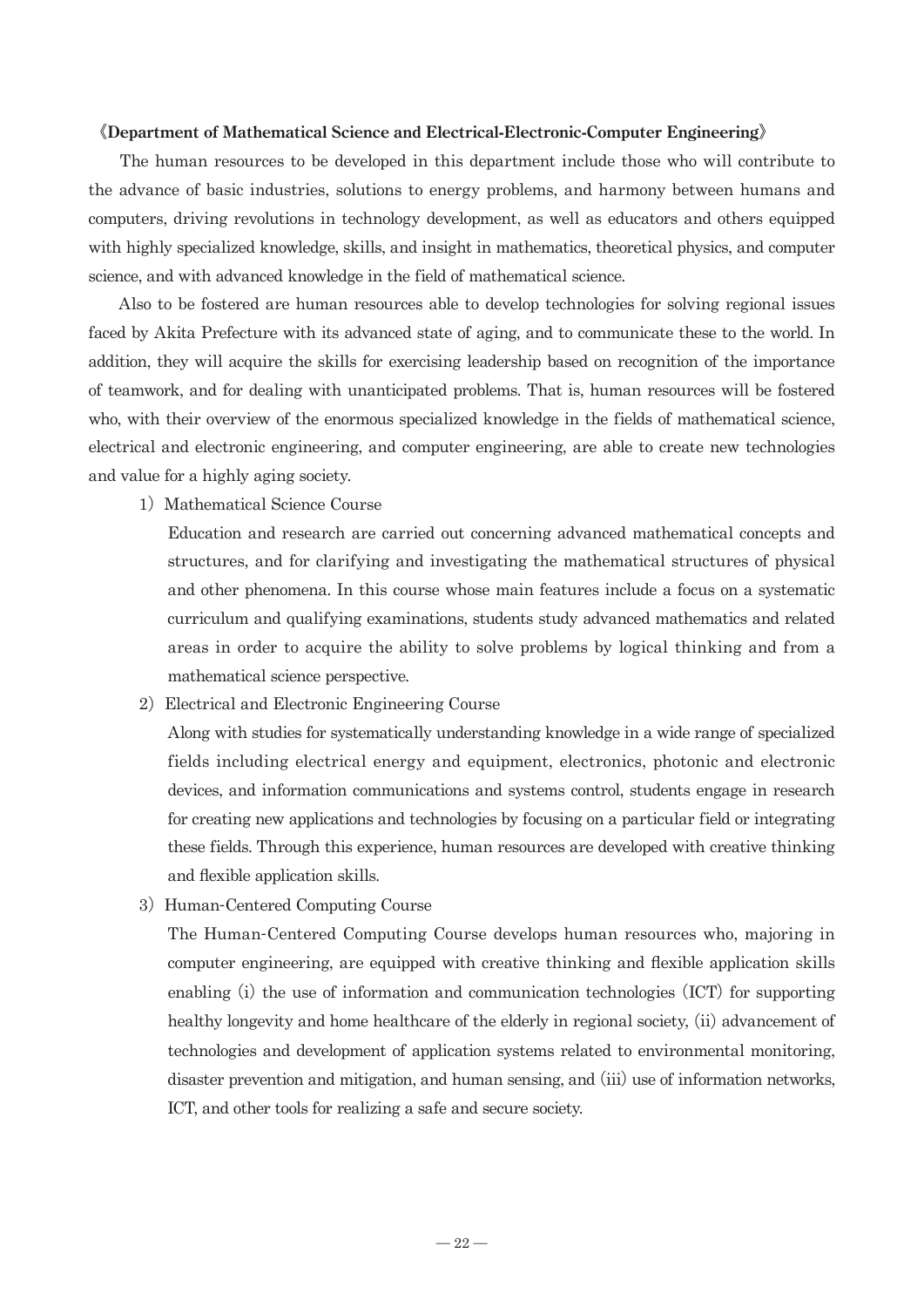#### 《**Department of Mathematical Science and Electrical-Electronic-Computer Engineering**》

 The human resources to be developed in this department include those who will contribute to the advance of basic industries, solutions to energy problems, and harmony between humans and computers, driving revolutions in technology development, as well as educators and others equipped with highly specialized knowledge, skills, and insight in mathematics, theoretical physics, and computer science, and with advanced knowledge in the field of mathematical science.

 Also to be fostered are human resources able to develop technologies for solving regional issues faced by Akita Prefecture with its advanced state of aging, and to communicate these to the world. In addition, they will acquire the skills for exercising leadership based on recognition of the importance of teamwork, and for dealing with unanticipated problems. That is, human resources will be fostered who, with their overview of the enormous specialized knowledge in the fields of mathematical science, electrical and electronic engineering, and computer engineering, are able to create new technologies and value for a highly aging society.

1) Mathematical Science Course

Education and research are carried out concerning advanced mathematical concepts and structures, and for clarifying and investigating the mathematical structures of physical and other phenomena. In this course whose main features include a focus on a systematic curriculum and qualifying examinations, students study advanced mathematics and related areas in order to acquire the ability to solve problems by logical thinking and from a mathematical science perspective.

2) Electrical and Electronic Engineering Course

Along with studies for systematically understanding knowledge in a wide range of specialized fields including electrical energy and equipment, electronics, photonic and electronic devices, and information communications and systems control, students engage in research for creating new applications and technologies by focusing on a particular field or integrating these fields. Through this experience, human resources are developed with creative thinking and flexible application skills.

3) Human-Centered Computing Course

The Human-Centered Computing Course develops human resources who, majoring in computer engineering, are equipped with creative thinking and flexible application skills enabling (i) the use of information and communication technologies (ICT) for supporting healthy longevity and home healthcare of the elderly in regional society, (ii) advancement of technologies and development of application systems related to environmental monitoring, disaster prevention and mitigation, and human sensing, and (iii) use of information networks, ICT, and other tools for realizing a safe and secure society.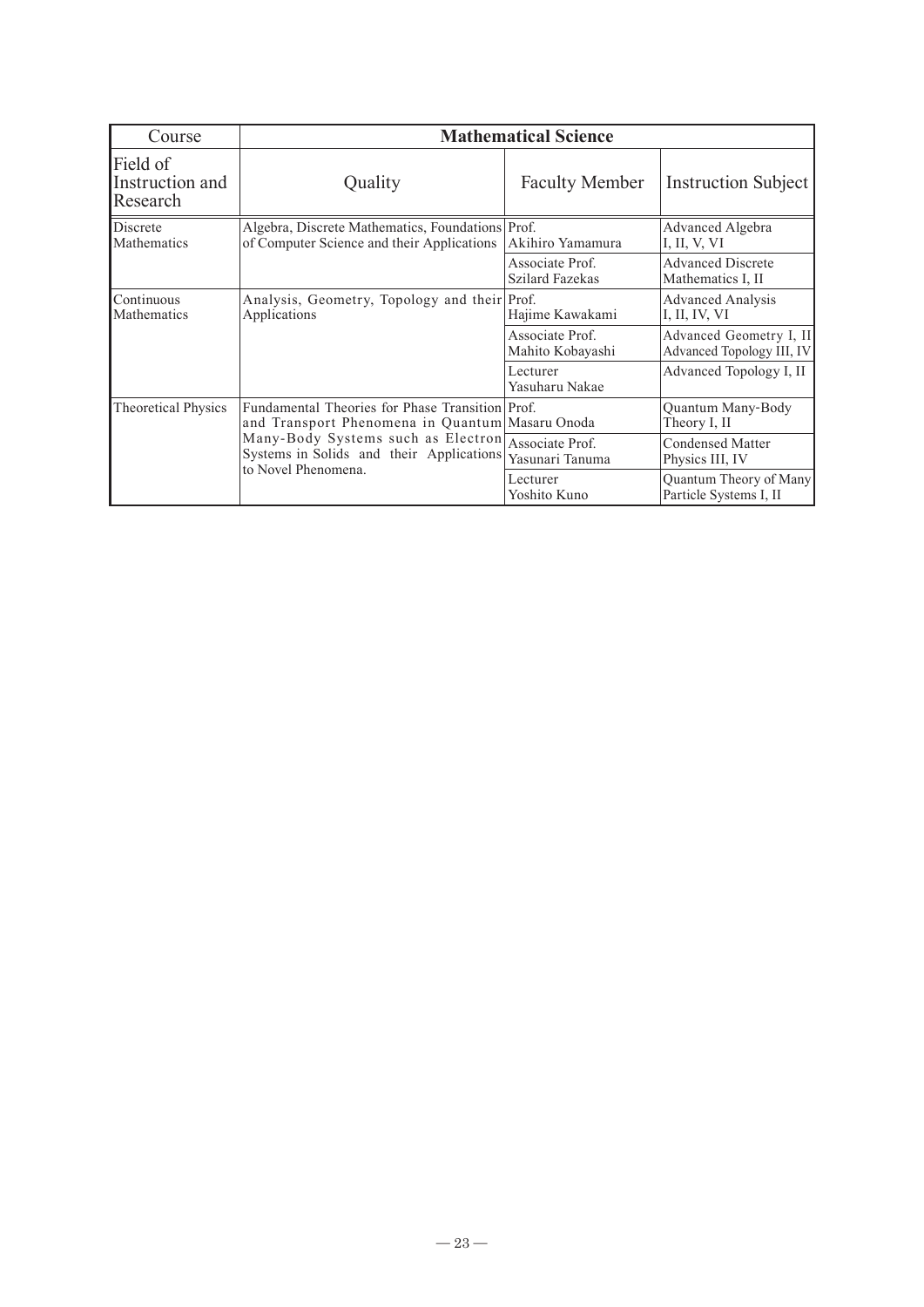| Course                                  | <b>Mathematical Science</b>                                                                                                                                                                                   |                                           |                                                      |  |  |
|-----------------------------------------|---------------------------------------------------------------------------------------------------------------------------------------------------------------------------------------------------------------|-------------------------------------------|------------------------------------------------------|--|--|
| Field of<br>Instruction and<br>Research | Quality                                                                                                                                                                                                       | <b>Faculty Member</b>                     | <b>Instruction Subject</b>                           |  |  |
| Discrete<br>Mathematics                 | Algebra, Discrete Mathematics, Foundations Prof.<br>of Computer Science and their Applications                                                                                                                | Akihiro Yamamura                          | Advanced Algebra<br>I, II, V, VI                     |  |  |
|                                         |                                                                                                                                                                                                               | Associate Prof.<br><b>Szilard Fazekas</b> | <b>Advanced Discrete</b><br>Mathematics I, II        |  |  |
| Continuous<br>Mathematics               | Analysis, Geometry, Topology and their Prof.<br>Applications                                                                                                                                                  | Hajime Kawakami                           | <b>Advanced Analysis</b><br>I, II, IV, VI            |  |  |
|                                         |                                                                                                                                                                                                               | Associate Prof.<br>Mahito Kobayashi       | Advanced Geometry I, II<br>Advanced Topology III, IV |  |  |
|                                         |                                                                                                                                                                                                               | Lecturer<br>Yasuharu Nakae                | Advanced Topology I, II                              |  |  |
| Theoretical Physics                     | Fundamental Theories for Phase Transition Prof.<br>and Transport Phenomena in Quantum   Masaru Onoda<br>Many-Body Systems such as Electron<br>Systems in Solids and their Applications<br>to Novel Phenomena. |                                           | Quantum Many-Body<br>Theory I, II                    |  |  |
|                                         |                                                                                                                                                                                                               | Associate Prof.<br>Yasunari Tanuma        | <b>Condensed Matter</b><br>Physics III, IV           |  |  |
|                                         |                                                                                                                                                                                                               | Lecturer<br>Yoshito Kuno                  | Quantum Theory of Many<br>Particle Systems I, II     |  |  |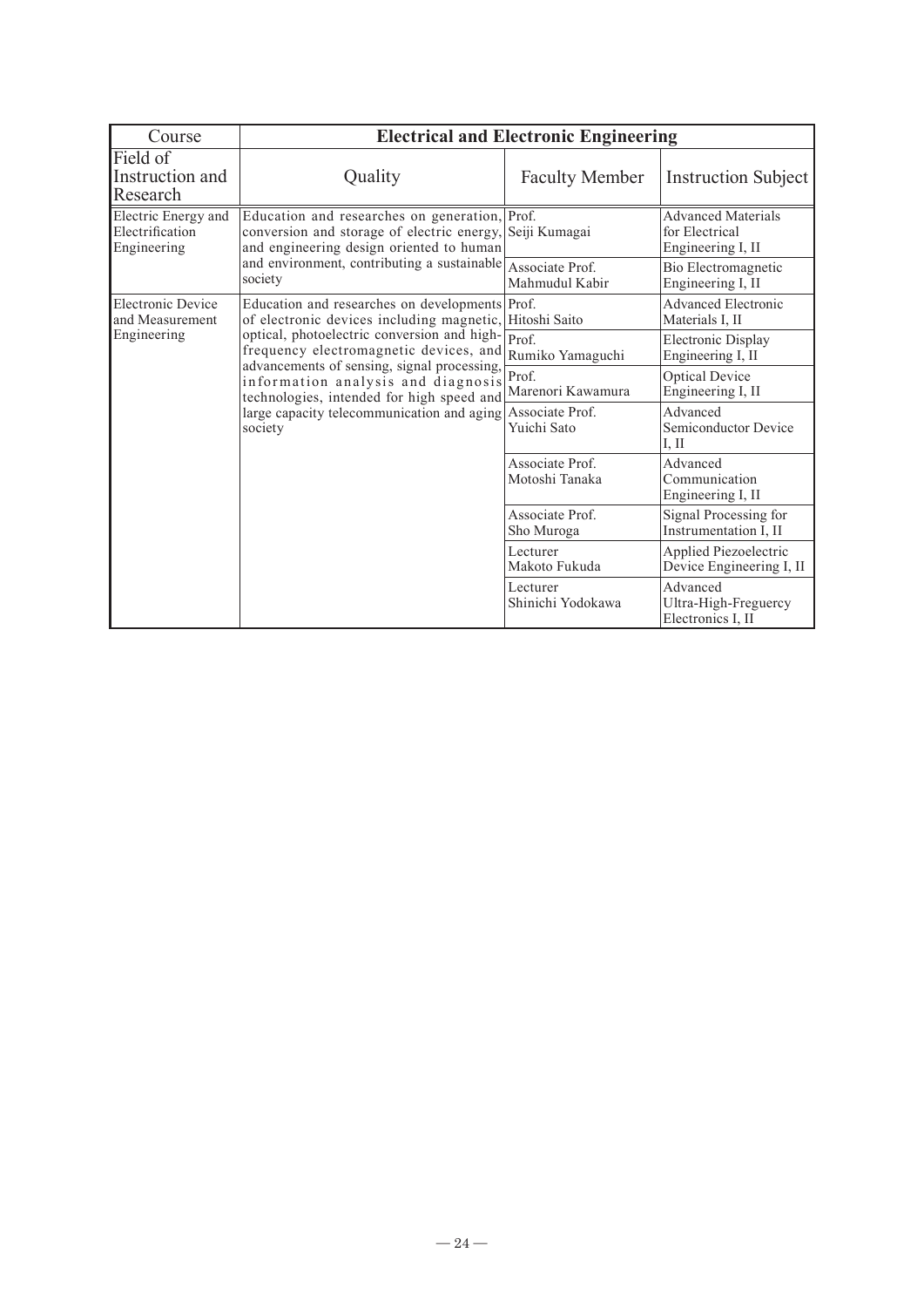| Course                                                                                                            | <b>Electrical and Electronic Engineering</b>                                                                                                                                                                                                                              |                                                |                                                                  |
|-------------------------------------------------------------------------------------------------------------------|---------------------------------------------------------------------------------------------------------------------------------------------------------------------------------------------------------------------------------------------------------------------------|------------------------------------------------|------------------------------------------------------------------|
| Field of<br>Instruction and<br>Research                                                                           | Quality                                                                                                                                                                                                                                                                   | <b>Faculty Member</b>                          | <b>Instruction Subject</b>                                       |
| Electric Energy and<br>Electrification<br>Engineering                                                             | Education and researches on generation, Prof.<br>conversion and storage of electric energy, Seiji Kumagai<br>and engineering design oriented to human                                                                                                                     |                                                | <b>Advanced Materials</b><br>for Electrical<br>Engineering I, II |
|                                                                                                                   | and environment, contributing a sustainable<br>society                                                                                                                                                                                                                    | Associate Prof.<br>Mahmudul Kabir              | Bio Electromagnetic<br>Engineering I, II                         |
| Electronic Device<br>and Measurement                                                                              | Education and researches on developments Prof.<br>of electronic devices including magnetic,<br>optical, photoelectric conversion and high-<br>frequency electromagnetic devices, and<br>advancements of sensing, signal processing,<br>information analysis and diagnosis | Hitoshi Saito                                  | <b>Advanced Electronic</b><br>Materials I, II                    |
| Engineering<br>technologies, intended for high speed and<br>large capacity telecommunication and aging<br>society |                                                                                                                                                                                                                                                                           | Prof.<br>Rumiko Yamaguchi                      | Electronic Display<br>Engineering I, II                          |
|                                                                                                                   |                                                                                                                                                                                                                                                                           | Prof.<br>Marenori Kawamura                     | <b>Optical Device</b><br>Engineering I, II                       |
|                                                                                                                   | Associate Prof.<br>Yuichi Sato                                                                                                                                                                                                                                            | Advanced<br>Semiconductor Device<br>I, II      |                                                                  |
|                                                                                                                   | Associate Prof.<br>Motoshi Tanaka                                                                                                                                                                                                                                         | Advanced<br>Communication<br>Engineering I, II |                                                                  |
|                                                                                                                   | Associate Prof.<br>Sho Muroga                                                                                                                                                                                                                                             | Signal Processing for<br>Instrumentation I, II |                                                                  |
|                                                                                                                   |                                                                                                                                                                                                                                                                           | Lecturer<br>Makoto Fukuda                      | Applied Piezoelectric<br>Device Engineering I, II                |
|                                                                                                                   |                                                                                                                                                                                                                                                                           | Lecturer<br>Shinichi Yodokawa                  | Advanced<br>Ultra-High-Freguercy<br>Electronics I, II            |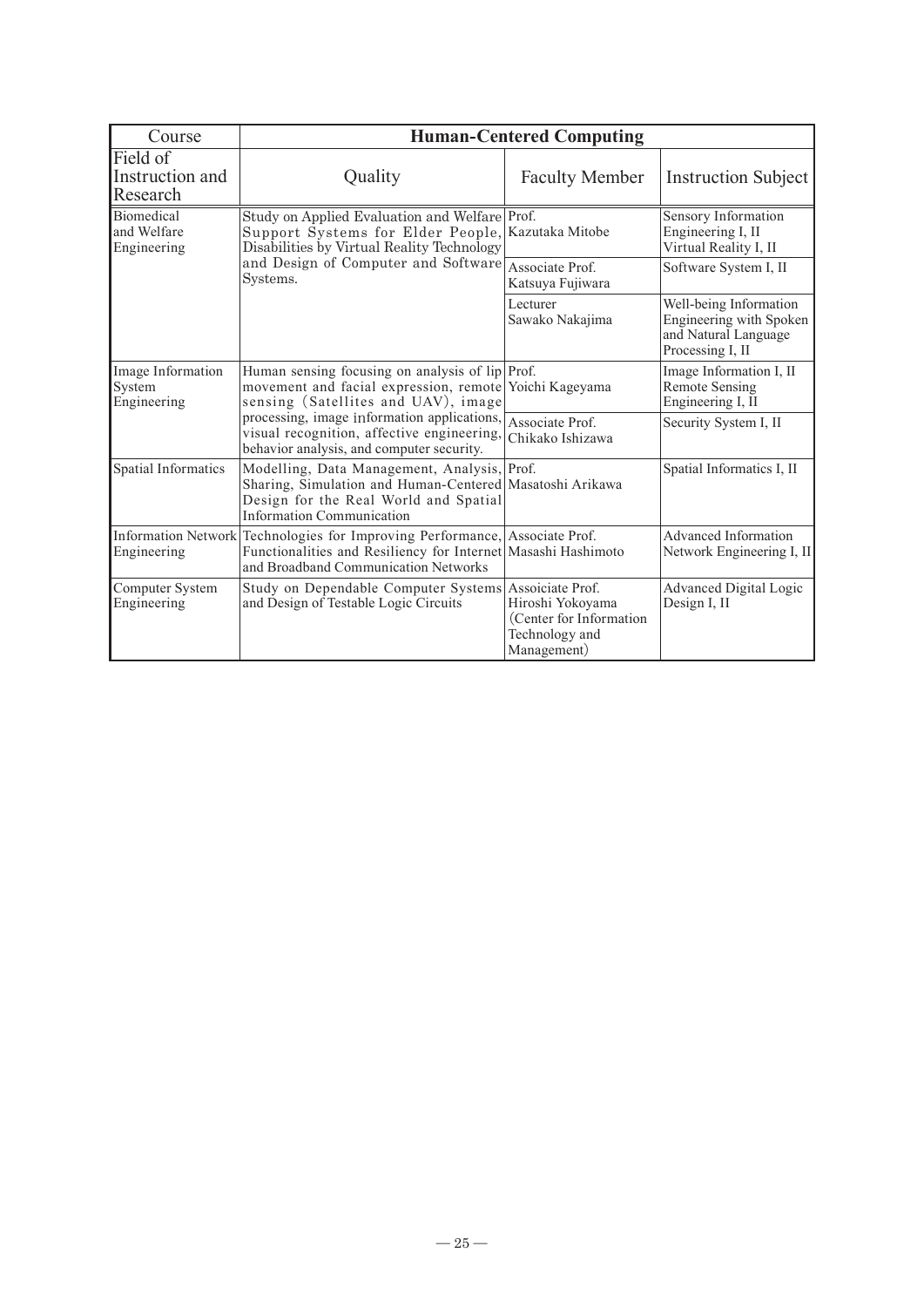| Course                                     | <b>Human-Centered Computing</b>                                                                                                                                                                                                                                                                            |                                                                               |                                                                                               |
|--------------------------------------------|------------------------------------------------------------------------------------------------------------------------------------------------------------------------------------------------------------------------------------------------------------------------------------------------------------|-------------------------------------------------------------------------------|-----------------------------------------------------------------------------------------------|
| Field of<br>Instruction and<br>Research    | Quality                                                                                                                                                                                                                                                                                                    | <b>Faculty Member</b>                                                         | <b>Instruction Subject</b>                                                                    |
| Biomedical<br>and Welfare<br>Engineering   | Study on Applied Evaluation and Welfare Prof.<br>Support Systems for Elder People,<br>Disabilities by Virtual Reality Technology<br>and Design of Computer and Software<br>Systems.                                                                                                                        | Kazutaka Mitobe                                                               | Sensory Information<br>Engineering I, II<br>Virtual Reality I, II                             |
|                                            |                                                                                                                                                                                                                                                                                                            | Associate Prof.<br>Katsuya Fujiwara                                           | Software System I, II                                                                         |
|                                            |                                                                                                                                                                                                                                                                                                            | Lecturer<br>Sawako Nakajima                                                   | Well-being Information<br>Engineering with Spoken<br>and Natural Language<br>Processing I, II |
| Image Information<br>System<br>Engineering | Human sensing focusing on analysis of lip Prof.<br>movement and facial expression, remote Yoichi Kageyama<br>sensing (Satellites and UAV), image<br>processing, image information applications, Associate Prof.<br>visual recognition, affective engineering,<br>behavior analysis, and computer security. |                                                                               | Image Information I, II<br><b>Remote Sensing</b><br>Engineering I, II                         |
|                                            |                                                                                                                                                                                                                                                                                                            | Chikako Ishizawa                                                              | Security System I, II                                                                         |
| Spatial Informatics                        | Modelling, Data Management, Analysis, Prof.<br>Sharing, Simulation and Human-Centered Masatoshi Arikawa<br>Design for the Real World and Spatial<br><b>Information Communication</b>                                                                                                                       |                                                                               | Spatial Informatics I, II                                                                     |
| Engineering                                | Information Network Technologies for Improving Performance, Associate Prof.<br>Functionalities and Resiliency for Internet Masashi Hashimoto<br>and Broadband Communication Networks                                                                                                                       |                                                                               | Advanced Information<br>Network Engineering I, II                                             |
| Computer System<br>Engineering             | Study on Dependable Computer Systems Assoiciate Prof.<br>and Design of Testable Logic Circuits                                                                                                                                                                                                             | Hiroshi Yokoyama<br>(Center for Information)<br>Technology and<br>Management) | Advanced Digital Logic<br>Design I, II                                                        |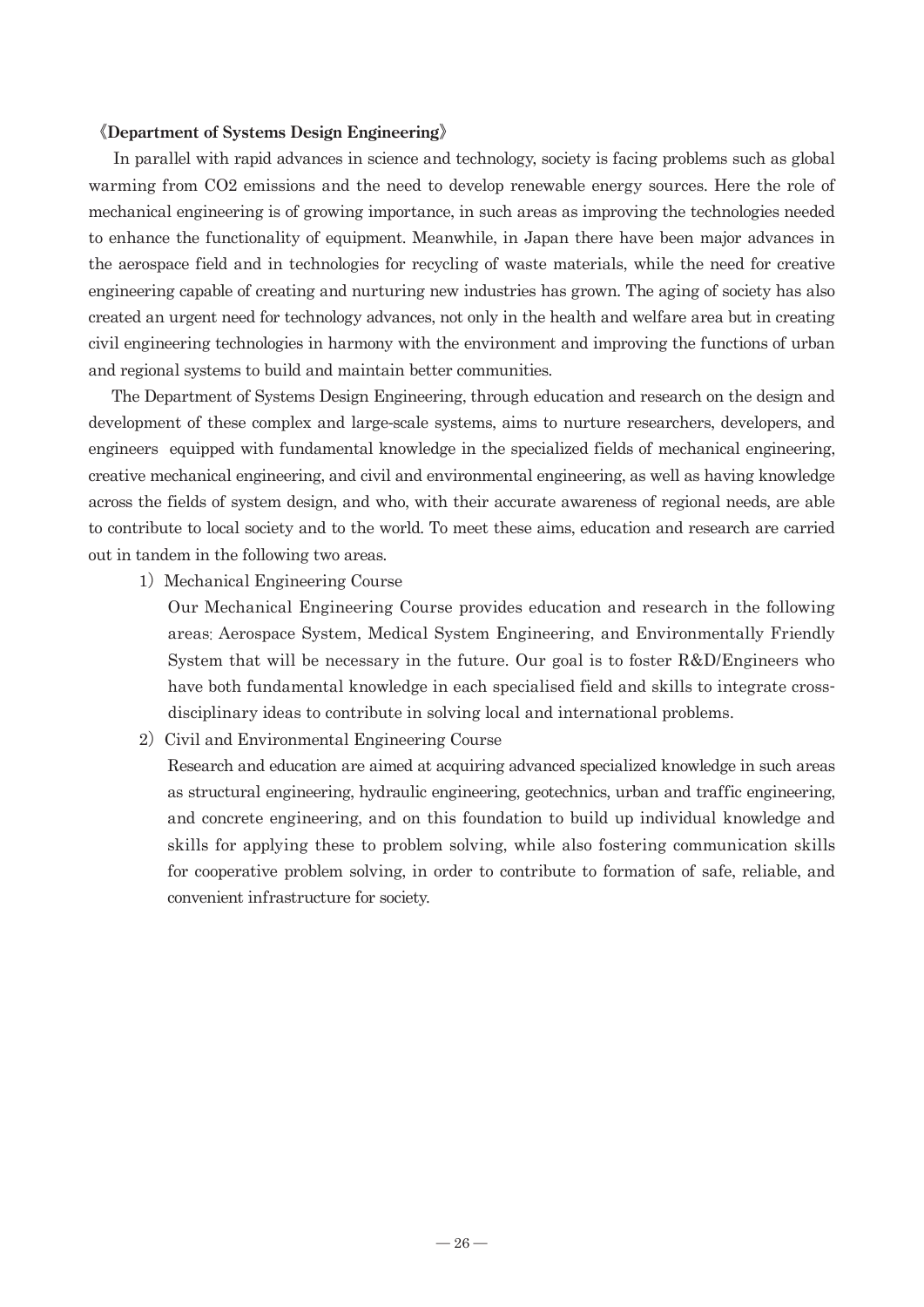#### 《**Department of Systems Design Engineering**》

 In parallel with rapid advances in science and technology, society is facing problems such as global warming from CO2 emissions and the need to develop renewable energy sources. Here the role of mechanical engineering is of growing importance, in such areas as improving the technologies needed to enhance the functionality of equipment. Meanwhile, in Japan there have been major advances in the aerospace field and in technologies for recycling of waste materials, while the need for creative engineering capable of creating and nurturing new industries has grown. The aging of society has also created an urgent need for technology advances, not only in the health and welfare area but in creating civil engineering technologies in harmony with the environment and improving the functions of urban and regional systems to build and maintain better communities.

 The Department of Systems Design Engineering, through education and research on the design and development of these complex and large-scale systems, aims to nurture researchers, developers, and engineers equipped with fundamental knowledge in the specialized fields of mechanical engineering, creative mechanical engineering, and civil and environmental engineering, as well as having knowledge across the fields of system design, and who, with their accurate awareness of regional needs, are able to contribute to local society and to the world. To meet these aims, education and research are carried out in tandem in the following two areas.

1) Mechanical Engineering Course

Our Mechanical Engineering Course provides education and research in the following areas: Aerospace System, Medical System Engineering, and Environmentally Friendly System that will be necessary in the future. Our goal is to foster R&D/Engineers who have both fundamental knowledge in each specialised field and skills to integrate crossdisciplinary ideas to contribute in solving local and international problems.

2) Civil and Environmental Engineering Course

Research and education are aimed at acquiring advanced specialized knowledge in such areas as structural engineering, hydraulic engineering, geotechnics, urban and traffic engineering, and concrete engineering, and on this foundation to build up individual knowledge and skills for applying these to problem solving, while also fostering communication skills for cooperative problem solving, in order to contribute to formation of safe, reliable, and convenient infrastructure for society.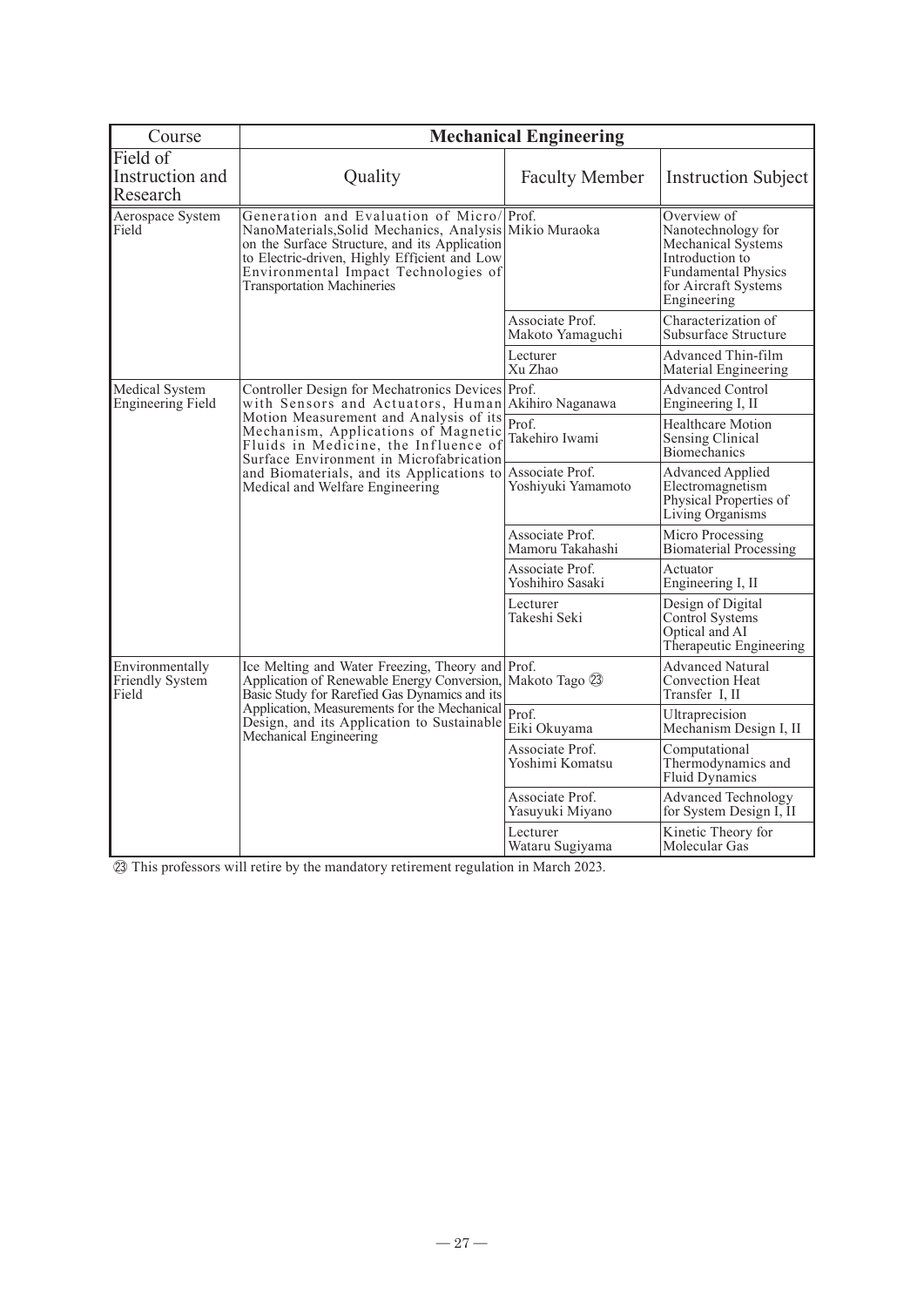| Course                                      | <b>Mechanical Engineering</b>                                                                                                                                                                                                                                                                                                                       |                                     |                                                                                                                                                 |
|---------------------------------------------|-----------------------------------------------------------------------------------------------------------------------------------------------------------------------------------------------------------------------------------------------------------------------------------------------------------------------------------------------------|-------------------------------------|-------------------------------------------------------------------------------------------------------------------------------------------------|
| Field of<br>Instruction and<br>Research     | Quality                                                                                                                                                                                                                                                                                                                                             | <b>Faculty Member</b>               | <b>Instruction Subject</b>                                                                                                                      |
| Aerospace System<br>Field                   | Generation and Evaluation of Micro/Prof.<br>NanoMaterials, Solid Mechanics, Analysis Mikio Muraoka<br>on the Surface Structure, and its Application<br>to Electric-driven, Highly Efficient and Low<br>Environmental Impact Technologies of<br><b>Transportation Machineries</b>                                                                    |                                     | Overview of<br>Nanotechnology for<br>Mechanical Systems<br>Introduction to<br><b>Fundamental Physics</b><br>for Aircraft Systems<br>Engineering |
|                                             |                                                                                                                                                                                                                                                                                                                                                     | Associate Prof.<br>Makoto Yamaguchi | Characterization of<br>Subsurface Structure                                                                                                     |
|                                             |                                                                                                                                                                                                                                                                                                                                                     | Lecturer<br>Xu Zhao                 | Advanced Thin-film<br>Material Engineering                                                                                                      |
| Medical System<br><b>Engineering Field</b>  | Controller Design for Mechatronics Devices<br>with Sensors and Actuators, Human<br>Motion Measurement and Analysis of its<br>Mechanism, Applications of Magnetic<br>Fluids in Medicine, the Influence of<br>Surface Environment in Microfabrication<br>and Biomaterials, and its Applications to Associate Prof.<br>Medical and Welfare Engineering | Prof.<br>Akihiro Naganawa           | Advanced Control<br>Engineering I, II                                                                                                           |
|                                             |                                                                                                                                                                                                                                                                                                                                                     | Prof.<br>Takehiro Iwami             | Healthcare Motion<br>Sensing Clinical<br>Biomechanics                                                                                           |
|                                             |                                                                                                                                                                                                                                                                                                                                                     | Yoshiyuki Yamamoto                  | Advanced Applied<br>Electromagnetism<br>Physical Properties of<br>Living Organisms                                                              |
|                                             |                                                                                                                                                                                                                                                                                                                                                     | Associate Prof.<br>Mamoru Takahashi | Micro Processing<br><b>Biomaterial Processing</b>                                                                                               |
|                                             |                                                                                                                                                                                                                                                                                                                                                     | Associate Prof.<br>Yoshihiro Sasaki | Actuator<br>Engineering I, II                                                                                                                   |
|                                             |                                                                                                                                                                                                                                                                                                                                                     | Lecturer<br>Takeshi Seki            | Design of Digital<br>Control Systems<br>Optical and AI<br>Therapeutic Engineering                                                               |
| Environmentally<br>Friendly System<br>Field | Ice Melting and Water Freezing, Theory and Prof.<br>Application of Renewable Energy Conversion, Makoto Tago 23<br>Basic Study for Rarefied Gas Dynamics and its<br>Application, Measurements for the Mechanical<br>Design, and its Application to Sustainable<br>Mechanical Engineering                                                             |                                     | Advanced Natural<br>Convection Heat<br>Transfer I, II                                                                                           |
|                                             |                                                                                                                                                                                                                                                                                                                                                     | Prof.<br>Eiki Okuyama               | Ultraprecision<br>Mechanism Design I, II                                                                                                        |
|                                             |                                                                                                                                                                                                                                                                                                                                                     | Associate Prof.<br>Yoshimi Komatsu  | Computational<br>Thermodynamics and<br>Fluid Dynamics                                                                                           |
|                                             |                                                                                                                                                                                                                                                                                                                                                     | Associate Prof.<br>Yasuyuki Miyano  | Advanced Technology<br>for System Design I, II                                                                                                  |
|                                             |                                                                                                                                                                                                                                                                                                                                                     | Lecturer<br>Wataru Sugiyama         | Kinetic Theory for<br>Molecular Gas                                                                                                             |

㉓ This professors will retire by the mandatory retirement regulation in March 2023.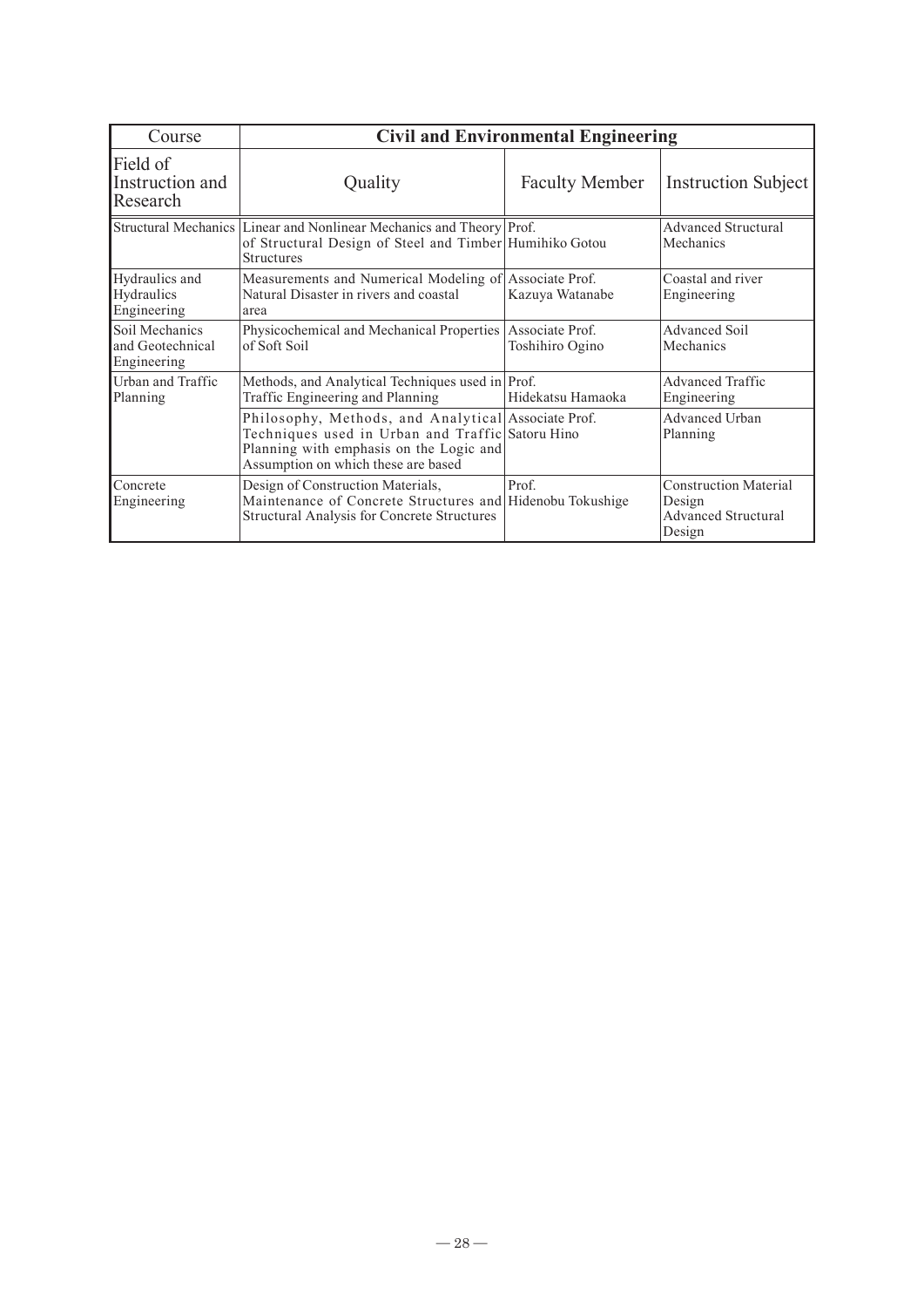| Course                                            | <b>Civil and Environmental Engineering</b>                                                                                                                                                |                       |                                                                         |
|---------------------------------------------------|-------------------------------------------------------------------------------------------------------------------------------------------------------------------------------------------|-----------------------|-------------------------------------------------------------------------|
| Field of<br>Instruction and<br>Research           | Quality                                                                                                                                                                                   | <b>Faculty Member</b> | <b>Instruction Subject</b>                                              |
|                                                   | Structural Mechanics Linear and Nonlinear Mechanics and Theory Prof.<br>of Structural Design of Steel and Timber Humihiko Gotou<br><b>Structures</b>                                      |                       | <b>Advanced Structural</b><br>Mechanics                                 |
| Hydraulics and<br>Hydraulics<br>Engineering       | Measurements and Numerical Modeling of Associate Prof.<br>Natural Disaster in rivers and coastal<br>Kazuya Watanabe<br>area                                                               |                       | Coastal and river<br>Engineering                                        |
| Soil Mechanics<br>and Geotechnical<br>Engineering | Physicochemical and Mechanical Properties Associate Prof.<br>of Soft Soil                                                                                                                 | Toshihiro Ogino       | Advanced Soil<br>Mechanics                                              |
| Urban and Traffic<br>Planning                     | Methods, and Analytical Techniques used in Prof.<br>Traffic Engineering and Planning                                                                                                      | Hidekatsu Hamaoka     | Advanced Traffic<br>Engineering                                         |
|                                                   | Philosophy, Methods, and Analytical Associate Prof.<br>Techniques used in Urban and Traffic Satoru Hino<br>Planning with emphasis on the Logic and<br>Assumption on which these are based |                       | Advanced Urban<br>Planning                                              |
| Concrete<br>Engineering                           | Design of Construction Materials,<br>Maintenance of Concrete Structures and Hidenobu Tokushige<br><b>Structural Analysis for Concrete Structures</b>                                      | Prof.                 | <b>Construction Material</b><br>Design<br>Advanced Structural<br>Design |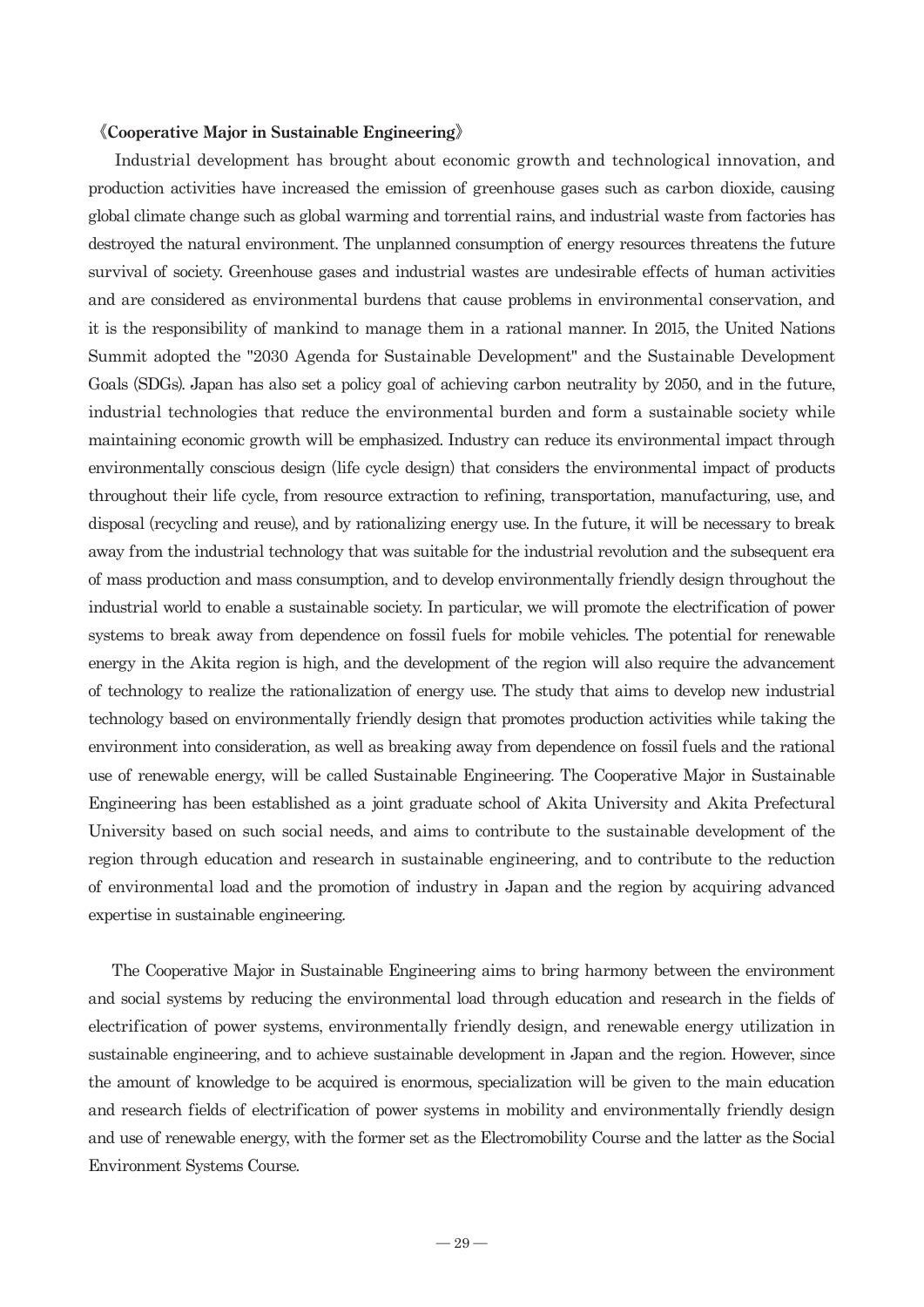#### 《**Cooperative Major in Sustainable Engineering**》

 Industrial development has brought about economic growth and technological innovation, and production activities have increased the emission of greenhouse gases such as carbon dioxide, causing global climate change such as global warming and torrential rains, and industrial waste from factories has destroyed the natural environment. The unplanned consumption of energy resources threatens the future survival of society. Greenhouse gases and industrial wastes are undesirable effects of human activities and are considered as environmental burdens that cause problems in environmental conservation, and it is the responsibility of mankind to manage them in a rational manner. In 2015, the United Nations Summit adopted the "2030 Agenda for Sustainable Development" and the Sustainable Development Goals (SDGs). Japan has also set a policy goal of achieving carbon neutrality by 2050, and in the future, industrial technologies that reduce the environmental burden and form a sustainable society while maintaining economic growth will be emphasized. Industry can reduce its environmental impact through environmentally conscious design (life cycle design) that considers the environmental impact of products throughout their life cycle, from resource extraction to refining, transportation, manufacturing, use, and disposal (recycling and reuse), and by rationalizing energy use. In the future, it will be necessary to break away from the industrial technology that was suitable for the industrial revolution and the subsequent era of mass production and mass consumption, and to develop environmentally friendly design throughout the industrial world to enable a sustainable society. In particular, we will promote the electrification of power systems to break away from dependence on fossil fuels for mobile vehicles. The potential for renewable energy in the Akita region is high, and the development of the region will also require the advancement of technology to realize the rationalization of energy use. The study that aims to develop new industrial technology based on environmentally friendly design that promotes production activities while taking the environment into consideration, as well as breaking away from dependence on fossil fuels and the rational use of renewable energy, will be called Sustainable Engineering. The Cooperative Major in Sustainable Engineering has been established as a joint graduate school of Akita University and Akita Prefectural University based on such social needs, and aims to contribute to the sustainable development of the region through education and research in sustainable engineering, and to contribute to the reduction of environmental load and the promotion of industry in Japan and the region by acquiring advanced expertise in sustainable engineering.

 The Cooperative Major in Sustainable Engineering aims to bring harmony between the environment and social systems by reducing the environmental load through education and research in the fields of electrification of power systems, environmentally friendly design, and renewable energy utilization in sustainable engineering, and to achieve sustainable development in Japan and the region. However, since the amount of knowledge to be acquired is enormous, specialization will be given to the main education and research fields of electrification of power systems in mobility and environmentally friendly design and use of renewable energy, with the former set as the Electromobility Course and the latter as the Social Environment Systems Course.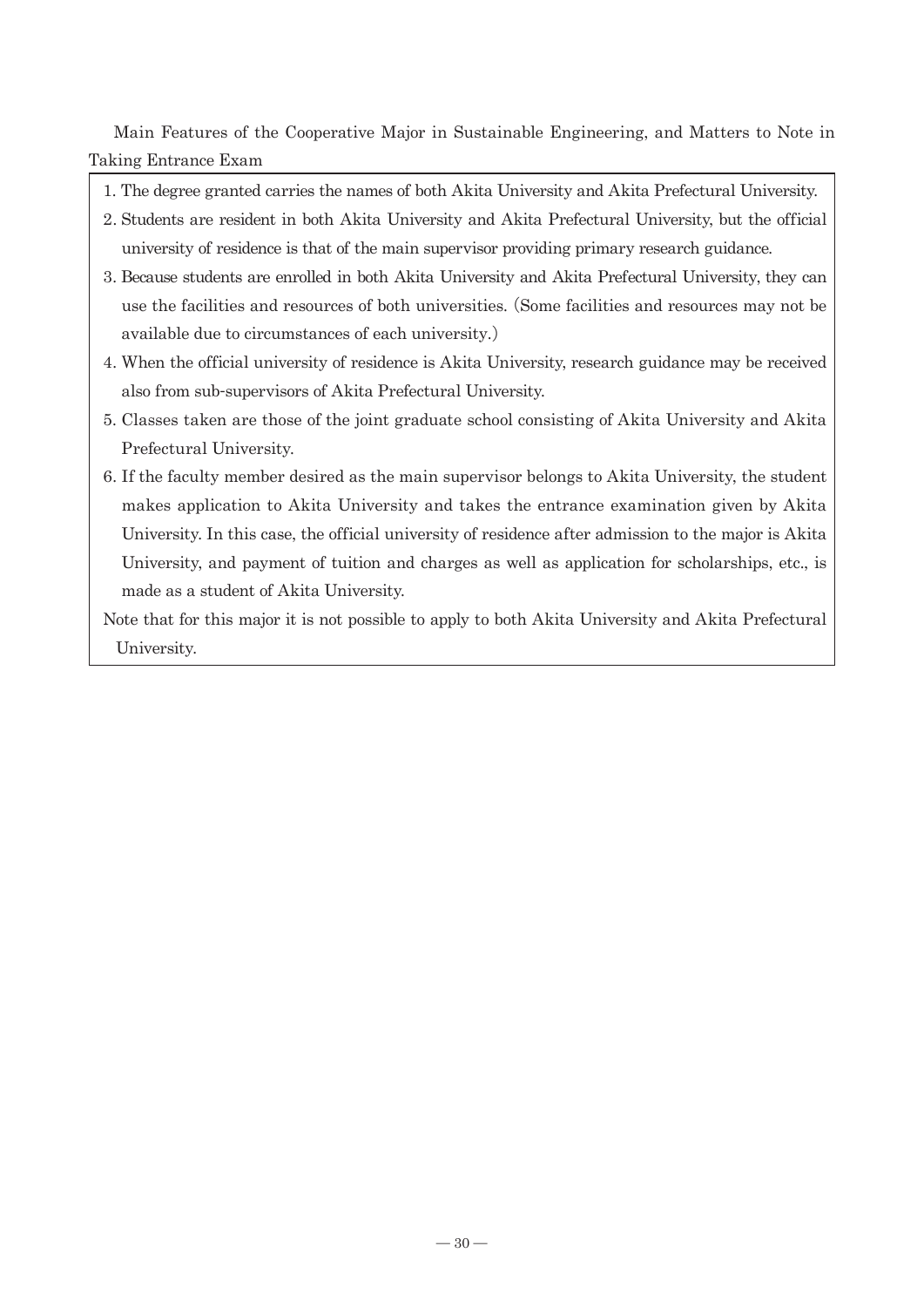Main Features of the Cooperative Major in Sustainable Engineering, and Matters to Note in Taking Entrance Exam

- 1. The degree granted carries the names of both Akita University and Akita Prefectural University.
- 2. Students are resident in both Akita University and Akita Prefectural University, but the official university of residence is that of the main supervisor providing primary research guidance.
- 3. Because students are enrolled in both Akita University and Akita Prefectural University, they can use the facilities and resources of both universities. (Some facilities and resources may not be available due to circumstances of each university.)
- 4. When the official university of residence is Akita University, research guidance may be received also from sub-supervisors of Akita Prefectural University.
- 5. Classes taken are those of the joint graduate school consisting of Akita University and Akita Prefectural University.
- 6. If the faculty member desired as the main supervisor belongs to Akita University, the student makes application to Akita University and takes the entrance examination given by Akita University. In this case, the official university of residence after admission to the major is Akita University, and payment of tuition and charges as well as application for scholarships, etc., is made as a student of Akita University.
- Note that for this major it is not possible to apply to both Akita University and Akita Prefectural University.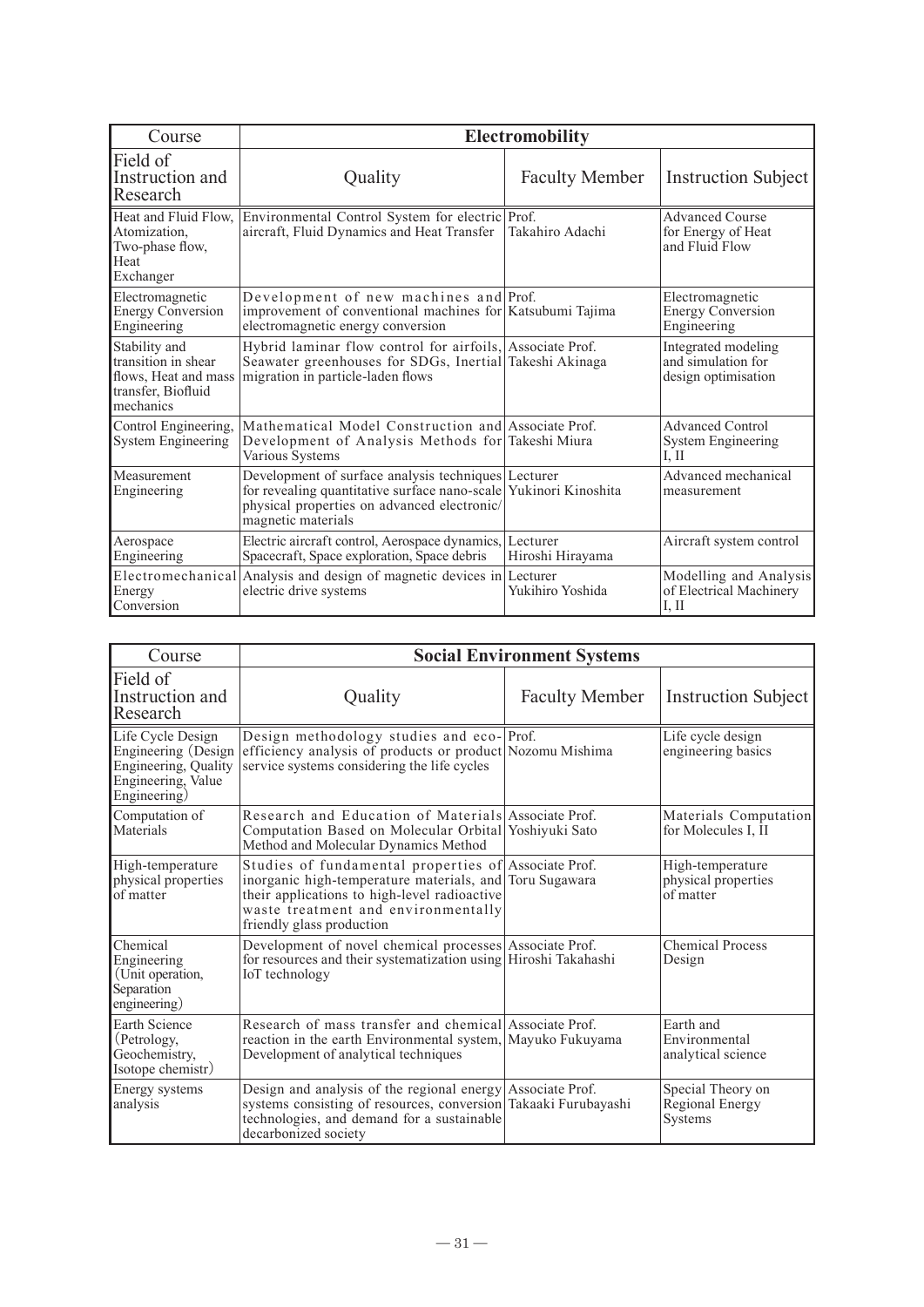| Course                                                                                          | <b>Electromobility</b>                                                                                                                                                                       |                       |                                                                  |
|-------------------------------------------------------------------------------------------------|----------------------------------------------------------------------------------------------------------------------------------------------------------------------------------------------|-----------------------|------------------------------------------------------------------|
| Field of<br>Instruction and<br>Research                                                         | Quality                                                                                                                                                                                      | <b>Faculty Member</b> | <b>Instruction Subject</b>                                       |
| Heat and Fluid Flow,<br>Atomization.<br>Two-phase flow,<br>Heat<br>Exchanger                    | Environmental Control System for electric Prof.<br>aircraft, Fluid Dynamics and Heat Transfer                                                                                                | Takahiro Adachi       | <b>Advanced Course</b><br>for Energy of Heat<br>and Fluid Flow   |
| Electromagnetic<br><b>Energy Conversion</b><br>Engineering                                      | Development of new machines and Prof.<br>improvement of conventional machines for Katsubumi Tajima<br>electromagnetic energy conversion                                                      |                       | Electromagnetic<br><b>Energy Conversion</b><br>Engineering       |
| Stability and<br>transition in shear<br>flows. Heat and mass<br>transfer, Biofluid<br>mechanics | Hybrid laminar flow control for airfoils, Associate Prof.<br>Seawater greenhouses for SDGs, Inertial Takeshi Akinaga<br>migration in particle-laden flows                                    |                       | Integrated modeling<br>and simulation for<br>design optimisation |
| Control Engineering,<br>System Engineering                                                      | Mathematical Model Construction and Associate Prof.<br>Development of Analysis Methods for Takeshi Miura<br>Various Systems                                                                  |                       | <b>Advanced Control</b><br>System Engineering<br>I, II           |
| Measurement<br>Engineering                                                                      | Development of surface analysis techniques Lecturer<br>for revealing quantitative surface nano-scale Yukinori Kinoshita<br>physical properties on advanced electronic/<br>magnetic materials |                       | Advanced mechanical<br>measurement                               |
| Aerospace<br>Engineering                                                                        | Electric aircraft control, Aerospace dynamics, Lecturer<br>Spacecraft, Space exploration, Space debris                                                                                       | Hiroshi Hirayama      | Aircraft system control                                          |
| Energy<br>Conversion                                                                            | Electromechanical Analysis and design of magnetic devices in Lecturer<br>electric drive systems                                                                                              | Yukihiro Yoshida      | Modelling and Analysis<br>of Electrical Machinery<br>I, II       |

| Course                                                                                                 | <b>Social Environment Systems</b>                                                                                                                                                                                                   |                       |                                                      |
|--------------------------------------------------------------------------------------------------------|-------------------------------------------------------------------------------------------------------------------------------------------------------------------------------------------------------------------------------------|-----------------------|------------------------------------------------------|
| Field of<br>Instruction and<br>Research                                                                | Quality                                                                                                                                                                                                                             | <b>Faculty Member</b> | <b>Instruction Subject</b>                           |
| Life Cycle Design<br>Engineering (Design<br>Engineering, Quality<br>Engineering, Value<br>Engineering) | Design methodology studies and eco-Prof.<br>efficiency analysis of products or product Nozomu Mishima<br>service systems considering the life cycles                                                                                |                       | Life cycle design<br>engineering basics              |
| Computation of<br>Materials                                                                            | Research and Education of Materials Associate Prof.<br>Computation Based on Molecular Orbital Yoshiyuki Sato<br>Method and Molecular Dynamics Method                                                                                |                       | Materials Computation<br>for Molecules I, II         |
| High-temperature<br>physical properties<br>of matter                                                   | Studies of fundamental properties of Associate Prof.<br>inorganic high-temperature materials, and Toru Sugawara<br>their applications to high-level radioactive<br>waste treatment and environmentally<br>friendly glass production |                       | High-temperature<br>physical properties<br>of matter |
| Chemical<br>Engineering<br>(Unit operation,<br>Separation<br>engineering)                              | Development of novel chemical processes Associate Prof.<br>for resources and their systematization using Hiroshi Takahashi<br>IoT technology                                                                                        |                       | <b>Chemical Process</b><br>Design                    |
| <b>Earth Science</b><br>(Petrology,<br>Geochemistry,<br>Isotope chemistr)                              | Research of mass transfer and chemical Associate Prof.<br>reaction in the earth Environmental system, Mayuko Fukuyama<br>Development of analytical techniques                                                                       |                       | Earth and<br>Environmental<br>analytical science     |
| Energy systems<br>analysis                                                                             | Design and analysis of the regional energy Associate Prof.<br>systems consisting of resources, conversion Takaaki Furubayashi<br>technologies, and demand for a sustainable<br>decarbonized society                                 |                       | Special Theory on<br>Regional Energy<br>Systems      |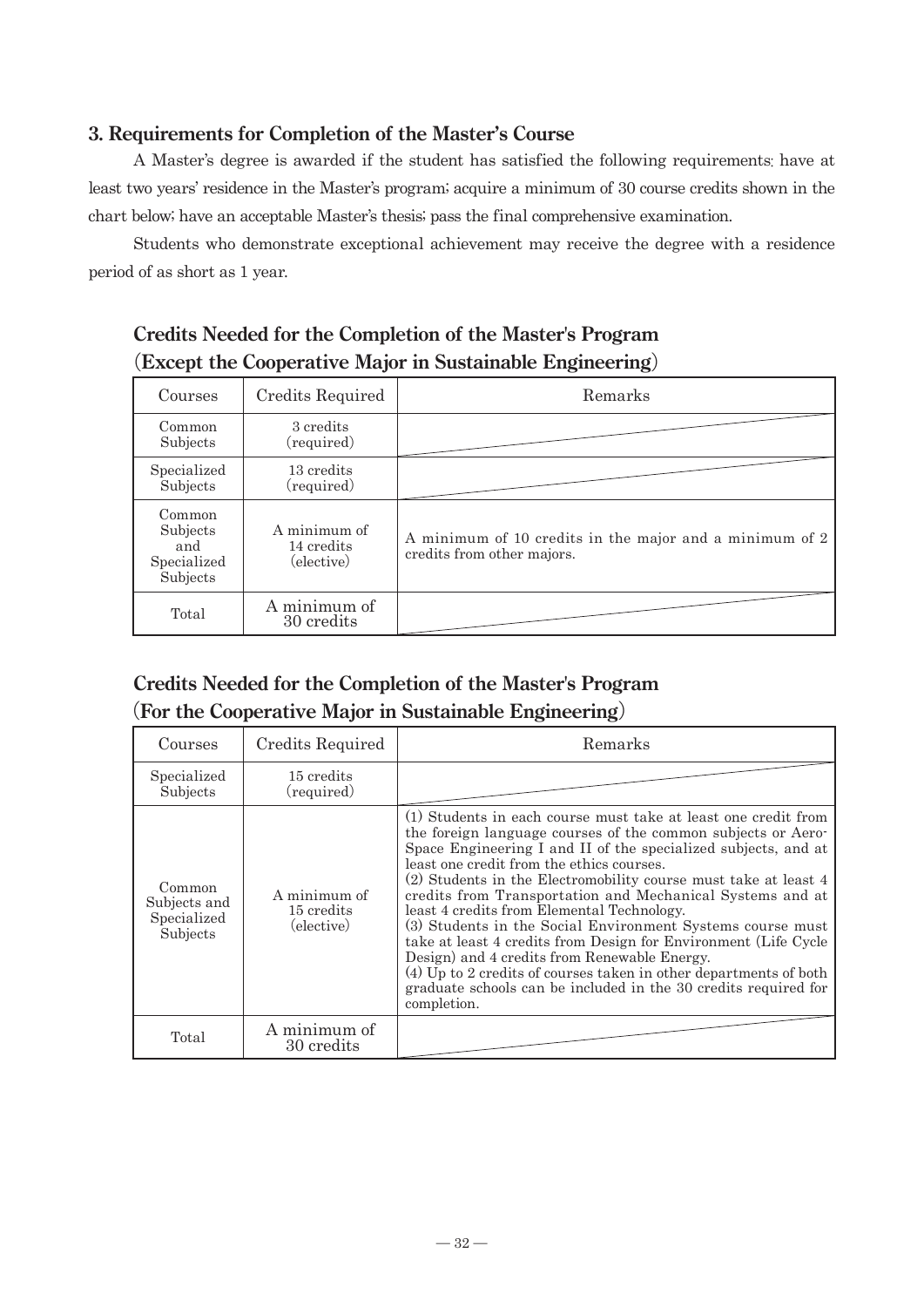#### **3. Requirements for Completion of the Master's Course**

A Master's degree is awarded if the student has satisfied the following requirements: have at least two years' residence in the Master's program; acquire a minimum of 30 course credits shown in the chart below; have an acceptable Master's thesis; pass the final comprehensive examination.

Students who demonstrate exceptional achievement may receive the degree with a residence period of as short as 1 year.

| $\sim$ 200 $\sim$ 200 $\sim$ 200 $\sim$ 200 $\sim$ 200 $\sim$ 200 $\sim$ 200 $\sim$ |                                          |                                                                                       |
|-------------------------------------------------------------------------------------|------------------------------------------|---------------------------------------------------------------------------------------|
| Courses                                                                             | Credits Required                         | Remarks                                                                               |
| Common<br>Subjects                                                                  | 3 credits<br>(required)                  |                                                                                       |
| Specialized<br>Subjects                                                             | 13 credits<br>(required)                 |                                                                                       |
| Common<br>Subjects<br>and<br>Specialized<br>Subjects                                | A minimum of<br>14 credits<br>(elective) | A minimum of 10 credits in the major and a minimum of 2<br>credits from other majors. |
| Total                                                                               | A minimum of<br>30 credits               |                                                                                       |

# **Credits Needed for the Completion of the Master's Program** (**Except the Cooperative Major in Sustainable Engineering**)

# **Credits Needed for the Completion of the Master's Program** (**For the Cooperative Major in Sustainable Engineering**)

| Courses                                           | Credits Required                         | Remarks                                                                                                                                                                                                                                                                                                                                                                                                                                                                                                                                                                                                                                                                                                                                                             |
|---------------------------------------------------|------------------------------------------|---------------------------------------------------------------------------------------------------------------------------------------------------------------------------------------------------------------------------------------------------------------------------------------------------------------------------------------------------------------------------------------------------------------------------------------------------------------------------------------------------------------------------------------------------------------------------------------------------------------------------------------------------------------------------------------------------------------------------------------------------------------------|
| Specialized<br>Subjects                           | 15 credits<br>(required)                 |                                                                                                                                                                                                                                                                                                                                                                                                                                                                                                                                                                                                                                                                                                                                                                     |
| Common<br>Subjects and<br>Specialized<br>Subjects | A minimum of<br>15 credits<br>(elective) | (1) Students in each course must take at least one credit from<br>the foreign language courses of the common subjects or Aero-<br>Space Engineering I and II of the specialized subjects, and at<br>least one credit from the ethics courses.<br>(2) Students in the Electromobility course must take at least 4<br>credits from Transportation and Mechanical Systems and at<br>least 4 credits from Elemental Technology.<br>(3) Students in the Social Environment Systems course must<br>take at least 4 credits from Design for Environment (Life Cycle<br>Design) and 4 credits from Renewable Energy.<br>(4) Up to 2 credits of courses taken in other departments of both<br>graduate schools can be included in the 30 credits required for<br>completion. |
| Total                                             | A minimum of<br>30 credits               |                                                                                                                                                                                                                                                                                                                                                                                                                                                                                                                                                                                                                                                                                                                                                                     |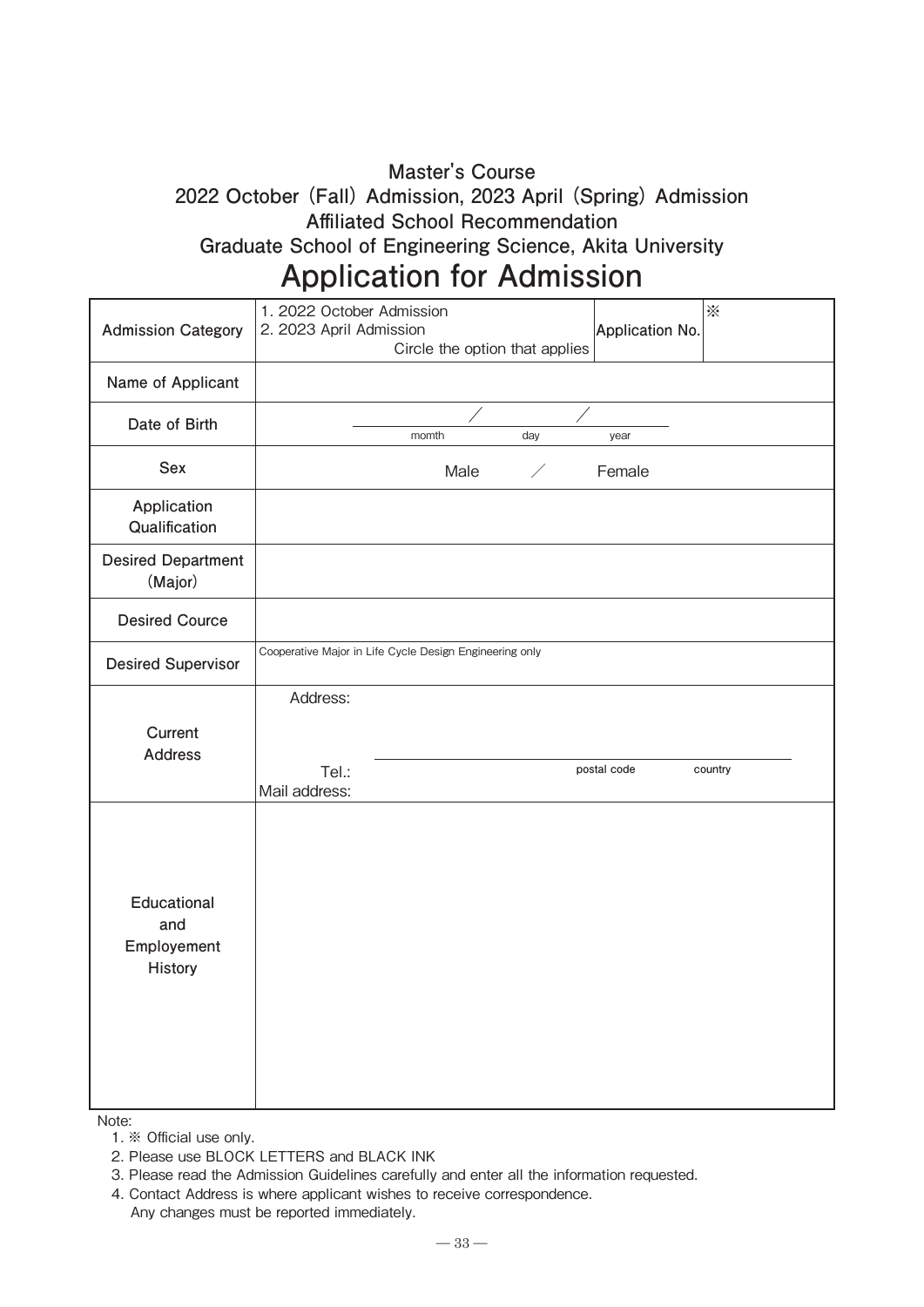# **Master's Course 2022 October (Fall) Admission, 2023 April (Spring) Admission Affiliated School Recommendation**

**Graduate School of Engineering Science, Akita University**

# **Application for Admission**

| <b>Admission Category</b>                    | $\tilde{\times}$<br>1. 2022 October Admission<br>2. 2023 April Admission<br>Application No.<br>Circle the option that applies |
|----------------------------------------------|-------------------------------------------------------------------------------------------------------------------------------|
| Name of Applicant                            |                                                                                                                               |
| Date of Birth                                | day<br>momth<br>year                                                                                                          |
| Sex                                          | Male<br>Female<br>∕                                                                                                           |
| Application<br>Qualification                 |                                                                                                                               |
| <b>Desired Department</b><br>(Major)         |                                                                                                                               |
| <b>Desired Cource</b>                        |                                                                                                                               |
| <b>Desired Supervisor</b>                    | Cooperative Major in Life Cycle Design Engineering only                                                                       |
| Current<br><b>Address</b>                    | Address:<br>postal code<br>Tel.:<br>country<br>Mail address:                                                                  |
| Educational<br>and<br>Employement<br>History |                                                                                                                               |

Note:

1. ※ Official use only.

2. Please use BLOCK LETTERS and BLACK INK

3. Please read the Admission Guidelines carefully and enter all the information requested.

4. Contact Address is where applicant wishes to receive correspondence.

Any changes must be reported immediately.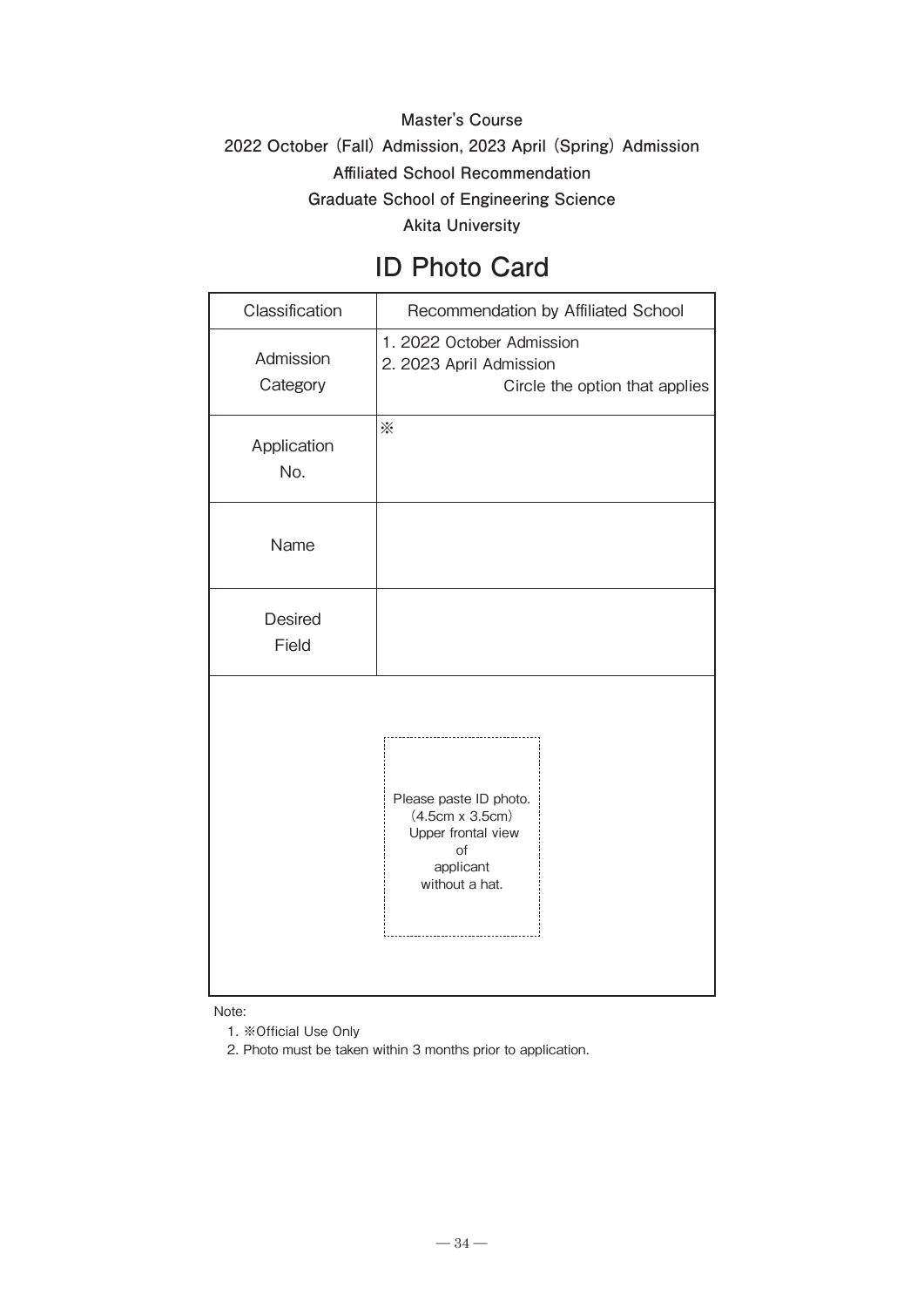# **Master's Course 2022 October (Fall) Admission, 2023 April (Spring) Admission Affiliated School Recommendation Graduate School of Engineering Science Akita University**

# **ID Photo Card**

| Classification          | Recommendation by Affiliated School                                                                         |  |
|-------------------------|-------------------------------------------------------------------------------------------------------------|--|
| Admission<br>Category   | 1. 2022 October Admission<br>2. 2023 April Admission<br>Circle the option that applies                      |  |
| Application<br>No.      | ☀                                                                                                           |  |
| Name                    |                                                                                                             |  |
| <b>Desired</b><br>Field |                                                                                                             |  |
|                         | Please paste ID photo.<br>$(4.5cm \times 3.5cm)$<br>Upper frontal view<br>of<br>applicant<br>without a hat. |  |

Note:

1. ※Official Use Only

2. Photo must be taken within 3 months prior to application.